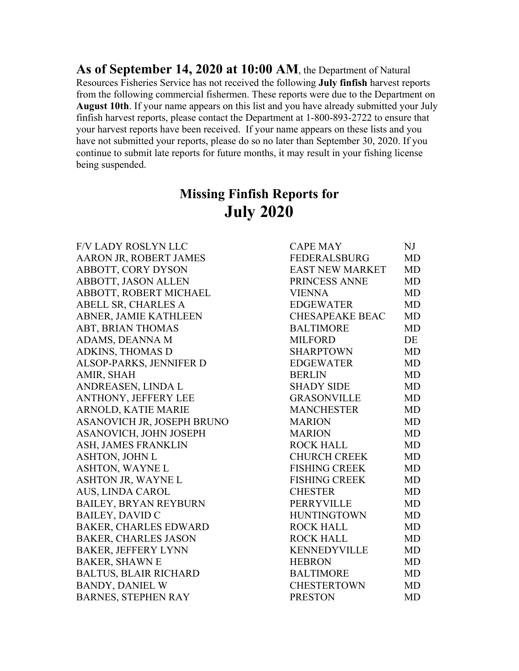**As of September 14, 2020 at 10:00 AM**, the Department of Natural Resources Fisheries Service has not received the following **July finfish** harvest reports from the following commercial fishermen. These reports were due to the Department on **August 10th**. If your name appears on this list and you have already submitted your July finfish harvest reports, please contact the Department at 1-800-893-2722 to ensure that your harvest reports have been received. If your name appears on these lists and you have not submitted your reports, please do so no later than September 30, 2020. If you continue to submit late reports for future months, it may result in your fishing license being suspended.

## **Missing Finfish Reports for July 2020**

| F/V LADY ROSLYN LLC           | <b>CAPE MAY</b>        | $N$ J     |
|-------------------------------|------------------------|-----------|
| <b>AARON JR, ROBERT JAMES</b> | <b>FEDERALSBURG</b>    | <b>MD</b> |
| ABBOTT, CORY DYSON            | <b>EAST NEW MARKET</b> | <b>MD</b> |
| <b>ABBOTT, JASON ALLEN</b>    | PRINCESS ANNE          | <b>MD</b> |
| ABBOTT, ROBERT MICHAEL        | <b>VIENNA</b>          | <b>MD</b> |
| ABELL SR, CHARLES A           | EDGEWATER              | <b>MD</b> |
| ABNER, JAMIE KATHLEEN         | <b>CHESAPEAKE BEAC</b> | <b>MD</b> |
| ABT, BRIAN THOMAS             | <b>BALTIMORE</b>       | <b>MD</b> |
| ADAMS, DEANNA M               | <b>MILFORD</b>         | DE        |
| ADKINS, THOMAS D              | SHARPTOWN              | <b>MD</b> |
| ALSOP-PARKS, JENNIFER D       | EDGEWATER              | <b>MD</b> |
| AMIR, SHAH                    | <b>BERLIN</b>          | <b>MD</b> |
| ANDREASEN, LINDA L            | <b>SHADY SIDE</b>      | <b>MD</b> |
| <b>ANTHONY, JEFFERY LEE</b>   | <b>GRASONVILLE</b>     | <b>MD</b> |
| ARNOLD, KATIE MARIE           | <b>MANCHESTER</b>      | <b>MD</b> |
| ASANOVICH JR, JOSEPH BRUNO    | <b>MARION</b>          | <b>MD</b> |
| <b>ASANOVICH, JOHN JOSEPH</b> | <b>MARION</b>          | <b>MD</b> |
| ASH, JAMES FRANKLIN           | <b>ROCK HALL</b>       | <b>MD</b> |
| ASHTON, JOHN L                | <b>CHURCH CREEK</b>    | <b>MD</b> |
| ASHTON, WAYNE L               | <b>FISHING CREEK</b>   | <b>MD</b> |
| ASHTON JR, WAYNE L            | <b>FISHING CREEK</b>   | MD        |
| AUS, LINDA CAROL              | <b>CHESTER</b>         | <b>MD</b> |
| <b>BAILEY, BRYAN REYBURN</b>  | PERRYVILLE             | <b>MD</b> |
| BAILEY, DAVID C               | <b>HUNTINGTOWN</b>     | <b>MD</b> |
| <b>BAKER, CHARLES EDWARD</b>  | <b>ROCK HALL</b>       | MD        |
| <b>BAKER, CHARLES JASON</b>   | <b>ROCK HALL</b>       | <b>MD</b> |
| <b>BAKER, JEFFERY LYNN</b>    | <b>KENNEDYVILLE</b>    | <b>MD</b> |
| <b>BAKER, SHAWN E</b>         | <b>HEBRON</b>          | <b>MD</b> |
| <b>BALTUS, BLAIR RICHARD</b>  | <b>BALTIMORE</b>       | <b>MD</b> |
| <b>BANDY, DANIEL W</b>        | <b>CHESTERTOWN</b>     | <b>MD</b> |
| <b>BARNES, STEPHEN RAY</b>    | <b>PRESTON</b>         | <b>MD</b> |
|                               |                        |           |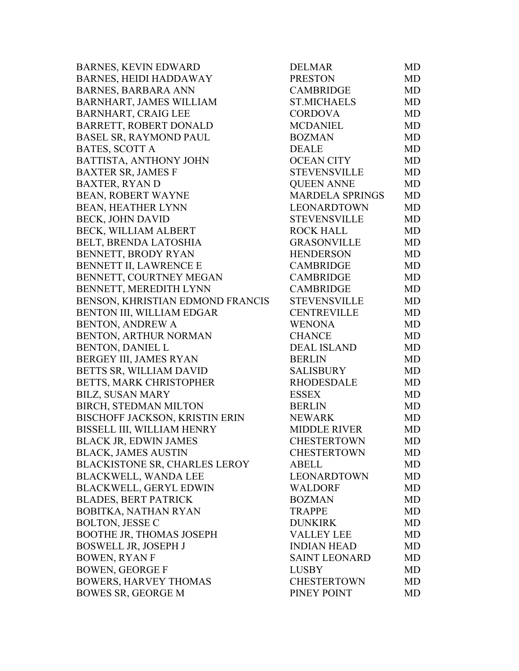| <b>BARNES, KEVIN EDWARD</b>           | <b>DELMAR</b>          | MD        |
|---------------------------------------|------------------------|-----------|
| <b>BARNES, HEIDI HADDAWAY</b>         | <b>PRESTON</b>         | MD        |
| <b>BARNES, BARBARA ANN</b>            | CAMBRIDGE              | MD        |
| <b>BARNHART, JAMES WILLIAM</b>        | <b>ST.MICHAELS</b>     | MD        |
| <b>BARNHART, CRAIG LEE</b>            | <b>CORDOVA</b>         | MD        |
| <b>BARRETT, ROBERT DONALD</b>         | <b>MCDANIEL</b>        | MD        |
| <b>BASEL SR, RAYMOND PAUL</b>         | <b>BOZMAN</b>          | MD        |
| <b>BATES, SCOTT A</b>                 | <b>DEALE</b>           | MD        |
| <b>BATTISTA, ANTHONY JOHN</b>         | <b>OCEAN CITY</b>      | MD        |
| <b>BAXTER SR, JAMES F</b>             | <b>STEVENSVILLE</b>    | MD        |
| <b>BAXTER, RYAN D</b>                 | <b>QUEEN ANNE</b>      | MD        |
| <b>BEAN, ROBERT WAYNE</b>             | <b>MARDELA SPRINGS</b> | MD        |
| <b>BEAN, HEATHER LYNN</b>             | LEONARDTOWN            | MD        |
| <b>BECK, JOHN DAVID</b>               | <b>STEVENSVILLE</b>    | MD        |
| <b>BECK, WILLIAM ALBERT</b>           | <b>ROCK HALL</b>       | MD        |
| BELT, BRENDA LATOSHIA                 | <b>GRASONVILLE</b>     | MD        |
| BENNETT, BRODY RYAN                   | <b>HENDERSON</b>       | MD        |
| <b>BENNETT II, LAWRENCE E</b>         | <b>CAMBRIDGE</b>       | MD        |
| BENNETT, COURTNEY MEGAN               | <b>CAMBRIDGE</b>       | MD        |
| BENNETT, MEREDITH LYNN                | <b>CAMBRIDGE</b>       | MD        |
| BENSON, KHRISTIAN EDMOND FRANCIS      | <b>STEVENSVILLE</b>    | MD        |
| BENTON III, WILLIAM EDGAR             | <b>CENTREVILLE</b>     | MD        |
| <b>BENTON, ANDREW A</b>               | <b>WENONA</b>          | MD        |
| BENTON, ARTHUR NORMAN                 | <b>CHANCE</b>          | MD        |
| <b>BENTON, DANIEL L</b>               | <b>DEAL ISLAND</b>     | MD        |
| <b>BERGEY III, JAMES RYAN</b>         | <b>BERLIN</b>          | MD        |
| BETTS SR, WILLIAM DAVID               | SALISBURY              | MD        |
| <b>BETTS, MARK CHRISTOPHER</b>        | <b>RHODESDALE</b>      | MD        |
| <b>BILZ, SUSAN MARY</b>               | <b>ESSEX</b>           | MD        |
| <b>BIRCH, STEDMAN MILTON</b>          | <b>BERLIN</b>          | MD        |
| <b>BISCHOFF JACKSON, KRISTIN ERIN</b> | <b>NEWARK</b>          | MD        |
| <b>BISSELL III, WILLIAM HENRY</b>     | <b>MIDDLE RIVER</b>    | <b>MD</b> |
| <b>BLACK JR, EDWIN JAMES</b>          | <b>CHESTERTOWN</b>     | MD        |
| <b>BLACK, JAMES AUSTIN</b>            | <b>CHESTERTOWN</b>     | MD        |
| <b>BLACKISTONE SR, CHARLES LEROY</b>  | <b>ABELL</b>           | MD        |
| <b>BLACKWELL, WANDA LEE</b>           | LEONARDTOWN            | MD        |
| <b>BLACKWELL, GERYL EDWIN</b>         | <b>WALDORF</b>         | MD        |
| <b>BLADES, BERT PATRICK</b>           | <b>BOZMAN</b>          | MD        |
| BOBITKA, NATHAN RYAN                  | <b>TRAPPE</b>          | MD        |
| <b>BOLTON, JESSE C</b>                | <b>DUNKIRK</b>         | MD        |
| <b>BOOTHE JR, THOMAS JOSEPH</b>       | VALLEY LEE             | MD        |
| BOSWELL JR, JOSEPH J                  | <b>INDIAN HEAD</b>     | MD        |
| <b>BOWEN, RYAN F</b>                  | <b>SAINT LEONARD</b>   | MD        |
| <b>BOWEN, GEORGE F</b>                | <b>LUSBY</b>           | MD        |
| <b>BOWERS, HARVEY THOMAS</b>          | <b>CHESTERTOWN</b>     | MD        |
| <b>BOWES SR, GEORGE M</b>             | PINEY POINT            | MD        |
|                                       |                        |           |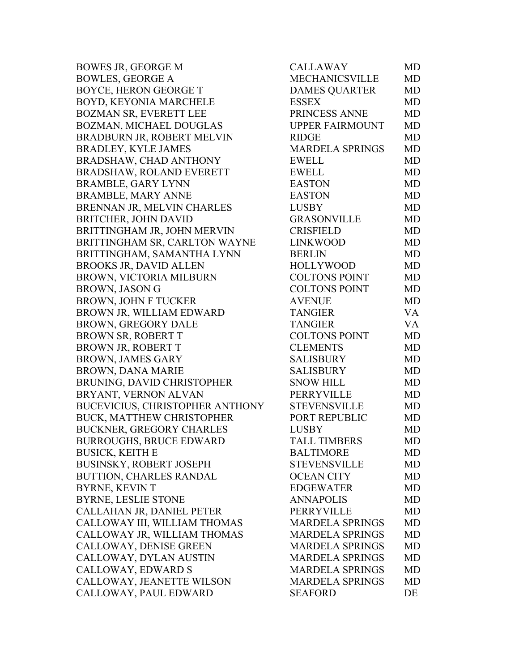BOWES JR, GEORGE M BOWLES, GEORGE A BOYCE, HERON GEORGE T BOYD, KEYONIA MARCHELE BOZMAN SR, EVERETT LEE BOZMAN, MICHAEL DOUGLAS BRADBURN JR, ROBERT MELVIN BRADLEY, KYLE JAMES BRADSHAW, CHAD ANTHONY BRADSHAW, ROLAND EVERETT BRAMBLE, GARY LYNN BRAMBLE, MARY ANNE BRENNAN JR, MELVIN CHARLES BRITCHER, JOHN DAVID BRITTINGHAM JR, JOHN MERVIN BRITTINGHAM SR, CARLTON WAYNE BRITTINGHAM, SAMANTHA LYNN BROOKS JR, DAVID ALLEN BROWN, VICTORIA MILBURN BROWN, JASON G BROWN, JOHN F TUCKER BROWN JR, WILLIAM EDWARD BROWN, GREGORY DALE BROWN SR, ROBERT T BROWN JR, ROBERT T BROWN, JAMES GARY BROWN, DANA MARIE BRUNING, DAVID CHRISTOPHER BRYANT, VERNON ALVAN BUCEVICIUS, CHRISTOPHER ANTHONY BUCK, MATTHEW CHRISTOPHER BUCKNER, GREGORY CHARLES BURROUGHS, BRUCE EDWARD BUSICK, KEITH E BUSINSKY, ROBERT JOSEPH BUTTION, CHARLES RANDAL BYRNE, KEVIN T BYRNE, LESLIE STONE CALLAHAN JR, DANIEL PETER CALLOWAY III, WILLIAM THOMAS CALLOWAY JR, WILLIAM THOMAS CALLOWAY, DENISE GREEN CALLOWAY, DYLAN AUSTIN CALLOWAY, EDWARD S CALLOWAY, JEANETTE WILSON CALLOWAY, PAUL EDWARD

| CALLAWAY               | MD        |
|------------------------|-----------|
| <b>MECHANICSVILLE</b>  | <b>MD</b> |
| <b>DAMES QUARTER</b>   | MD        |
| <b>ESSEX</b>           | MD        |
| PRINCESS ANNE          | <b>MD</b> |
| <b>UPPER FAIRMOUNT</b> | MD        |
| <b>RIDGE</b>           | MD        |
| <b>MARDELA SPRINGS</b> | MD        |
| <b>EWELL</b>           | <b>MD</b> |
| <b>EWELL</b>           | MD        |
| <b>EASTON</b>          | <b>MD</b> |
| <b>EASTON</b>          | MD        |
| <b>LUSBY</b>           | MD        |
| <b>GRASONVILLE</b>     | <b>MD</b> |
| <b>CRISFIELD</b>       | <b>MD</b> |
| <b>LINKWOOD</b>        | MD        |
| <b>BERLIN</b>          | MD        |
| <b>HOLLYWOOD</b>       | <b>MD</b> |
| <b>COLTONS POINT</b>   | MD        |
| <b>COLTONS POINT</b>   | <b>MD</b> |
| <b>AVENUE</b>          | <b>MD</b> |
| <b>TANGIER</b>         | VA        |
| <b>TANGIER</b>         | VA        |
| <b>COLTONS POINT</b>   | <b>MD</b> |
| <b>CLEMENTS</b>        | <b>MD</b> |
| SALISBURY              | MD        |
| <b>SALISBURY</b>       | MD        |
| <b>SNOW HILL</b>       | MD        |
| PERRYVILLE             | MD        |
| <b>STEVENSVILLE</b>    | MD        |
| PORT REPUBLIC          | MD        |
| <b>LUSBY</b>           | <b>MD</b> |
| <b>TALL TIMBERS</b>    | MD        |
| <b>BALTIMORE</b>       | MD        |
| <b>STEVENSVILLE</b>    | <b>MD</b> |
| <b>OCEAN CITY</b>      | <b>MD</b> |
| <b>EDGEWATER</b>       | MD        |
| <b>ANNAPOLIS</b>       | <b>MD</b> |
| <b>PERRYVILLE</b>      | <b>MD</b> |
| <b>MARDELA SPRINGS</b> | <b>MD</b> |
| <b>MARDELA SPRINGS</b> | <b>MD</b> |
| <b>MARDELA SPRINGS</b> | <b>MD</b> |
| <b>MARDELA SPRINGS</b> | <b>MD</b> |
| <b>MARDELA SPRINGS</b> | MD        |
| <b>MARDELA SPRINGS</b> | <b>MD</b> |
|                        |           |
| SEAFORD                | DE        |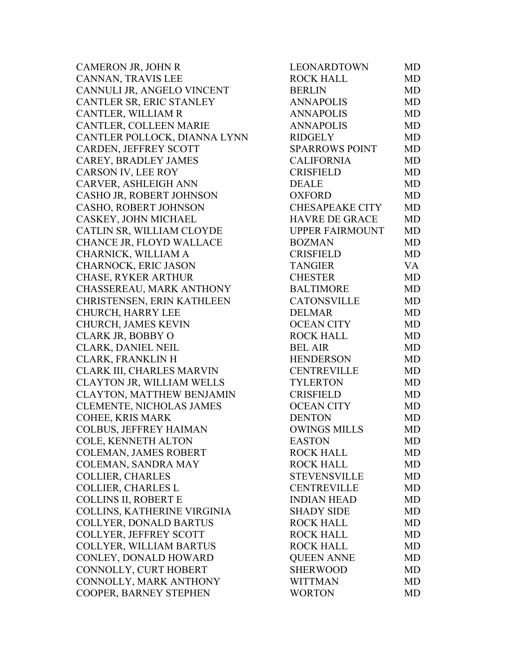| CAMERON JR, JOHN R              | LEONARDTOWN            | <b>MD</b> |
|---------------------------------|------------------------|-----------|
| CANNAN, TRAVIS LEE              | <b>ROCK HALL</b>       | <b>MD</b> |
| CANNULI JR, ANGELO VINCENT      | <b>BERLIN</b>          | <b>MD</b> |
| CANTLER SR, ERIC STANLEY        | <b>ANNAPOLIS</b>       | <b>MD</b> |
| CANTLER, WILLIAM R              | <b>ANNAPOLIS</b>       | <b>MD</b> |
| CANTLER, COLLEEN MARIE          | <b>ANNAPOLIS</b>       | <b>MD</b> |
| CANTLER POLLOCK, DIANNA LYNN    | <b>RIDGELY</b>         | <b>MD</b> |
| CARDEN, JEFFREY SCOTT           | <b>SPARROWS POINT</b>  | <b>MD</b> |
| CAREY, BRADLEY JAMES            | <b>CALIFORNIA</b>      | <b>MD</b> |
| CARSON IV, LEE ROY              | <b>CRISFIELD</b>       | <b>MD</b> |
| CARVER, ASHLEIGH ANN            | <b>DEALE</b>           | <b>MD</b> |
| CASHO JR, ROBERT JOHNSON        | <b>OXFORD</b>          | <b>MD</b> |
| CASHO, ROBERT JOHNSON           | <b>CHESAPEAKE CITY</b> | <b>MD</b> |
| CASKEY, JOHN MICHAEL            | <b>HAVRE DE GRACE</b>  | <b>MD</b> |
| CATLIN SR, WILLIAM CLOYDE       | <b>UPPER FAIRMOUNT</b> | <b>MD</b> |
| CHANCE JR, FLOYD WALLACE        | <b>BOZMAN</b>          | <b>MD</b> |
| CHARNICK, WILLIAM A             | <b>CRISFIELD</b>       | <b>MD</b> |
| CHARNOCK, ERIC JASON            | <b>TANGIER</b>         | VA        |
| <b>CHASE, RYKER ARTHUR</b>      | <b>CHESTER</b>         | <b>MD</b> |
| CHASSEREAU, MARK ANTHONY        | <b>BALTIMORE</b>       | <b>MD</b> |
| CHRISTENSEN, ERIN KATHLEEN      | <b>CATONSVILLE</b>     | <b>MD</b> |
| CHURCH, HARRY LEE               | <b>DELMAR</b>          | <b>MD</b> |
| CHURCH, JAMES KEVIN             | <b>OCEAN CITY</b>      | <b>MD</b> |
| CLARK JR, BOBBY O               | <b>ROCK HALL</b>       | <b>MD</b> |
| CLARK, DANIEL NEIL              | <b>BEL AIR</b>         | <b>MD</b> |
| CLARK, FRANKLIN H               | <b>HENDERSON</b>       | <b>MD</b> |
| CLARK III, CHARLES MARVIN       | <b>CENTREVILLE</b>     | <b>MD</b> |
| CLAYTON JR, WILLIAM WELLS       | <b>TYLERTON</b>        | <b>MD</b> |
| CLAYTON, MATTHEW BENJAMIN       | <b>CRISFIELD</b>       | <b>MD</b> |
| <b>CLEMENTE, NICHOLAS JAMES</b> | <b>OCEAN CITY</b>      | <b>MD</b> |
| COHEE, KRIS MARK                | <b>DENTON</b>          | MD        |
| COLBUS, JEFFREY HAIMAN          | <b>OWINGS MILLS</b>    | <b>MD</b> |
| COLE, KENNETH ALTON             | <b>EASTON</b>          | MD        |
| COLEMAN, JAMES ROBERT           | <b>ROCK HALL</b>       | MD        |
| COLEMAN, SANDRA MAY             | <b>ROCK HALL</b>       | MD        |
| <b>COLLIER, CHARLES</b>         | <b>STEVENSVILLE</b>    | MD        |
| COLLIER, CHARLES L              | <b>CENTREVILLE</b>     | <b>MD</b> |
| <b>COLLINS II, ROBERT E</b>     | <b>INDIAN HEAD</b>     | MD        |
| COLLINS, KATHERINE VIRGINIA     | <b>SHADY SIDE</b>      | <b>MD</b> |
| COLLYER, DONALD BARTUS          | <b>ROCK HALL</b>       | <b>MD</b> |
| COLLYER, JEFFREY SCOTT          | <b>ROCK HALL</b>       | MD        |
| COLLYER, WILLIAM BARTUS         | <b>ROCK HALL</b>       | MD        |
| CONLEY, DONALD HOWARD           | <b>QUEEN ANNE</b>      | <b>MD</b> |
| CONNOLLY, CURT HOBERT           | <b>SHERWOOD</b>        | MD        |
| CONNOLLY, MARK ANTHONY          | <b>WITTMAN</b>         | <b>MD</b> |
| COOPER, BARNEY STEPHEN          | <b>WORTON</b>          | <b>MD</b> |
|                                 |                        |           |

| LEONARDTOWN            | MD        |
|------------------------|-----------|
| <b>ROCK HALL</b>       | <b>MD</b> |
| <b>BERLIN</b>          | <b>MD</b> |
| <b>ANNAPOLIS</b>       | <b>MD</b> |
| <b>ANNAPOLIS</b>       | <b>MD</b> |
| <b>ANNAPOLIS</b>       | <b>MD</b> |
| <b>RIDGELY</b>         | <b>MD</b> |
| <b>SPARROWS POINT</b>  | <b>MD</b> |
| <b>CALIFORNIA</b>      | <b>MD</b> |
| <b>CRISFIELD</b>       | MD        |
| <b>DEALE</b>           | <b>MD</b> |
| <b>OXFORD</b>          | <b>MD</b> |
| <b>CHESAPEAKE CITY</b> | MD        |
| <b>HAVRE DE GRACE</b>  | <b>MD</b> |
| UPPER FAIRMOUNT        | <b>MD</b> |
| <b>BOZMAN</b>          | <b>MD</b> |
| <b>CRISFIELD</b>       | <b>MD</b> |
| <b>TANGIER</b>         | VA        |
| <b>CHESTER</b>         | <b>MD</b> |
| <b>BALTIMORE</b>       | MD        |
| <b>CATONSVILLE</b>     | <b>MD</b> |
| <b>DELMAR</b>          | <b>MD</b> |
| <b>OCEAN CITY</b>      | MD        |
| <b>ROCK HALL</b>       | <b>MD</b> |
| <b>BEL AIR</b>         | <b>MD</b> |
| <b>HENDERSON</b>       | MD        |
| <b>CENTREVILLE</b>     | <b>MD</b> |
| <b>TYLERTON</b>        | <b>MD</b> |
| <b>CRISFIELD</b>       | <b>MD</b> |
| <b>OCEAN CITY</b>      | <b>MD</b> |
| <b>DENTON</b>          | <b>MD</b> |
| <b>OWINGS MILLS</b>    | <b>MD</b> |
| <b>EASTON</b>          | MD        |
| <b>ROCK HALL</b>       | MD        |
| <b>ROCK HALL</b>       | MD        |
| <b>STEVENSVILLE</b>    | MD        |
| <b>CENTREVILLE</b>     | MD        |
| <b>INDIAN HEAD</b>     | <b>MD</b> |
| <b>SHADY SIDE</b>      | <b>MD</b> |
| <b>ROCK HALL</b>       | MD        |
| <b>ROCK HALL</b>       | MD        |
| <b>ROCK HALL</b>       | <b>MD</b> |
| <b>QUEEN ANNE</b>      | <b>MD</b> |
| SHERWOOD               | <b>MD</b> |
| WITTMAN                | <b>MD</b> |
| <b>WORTON</b>          | MD        |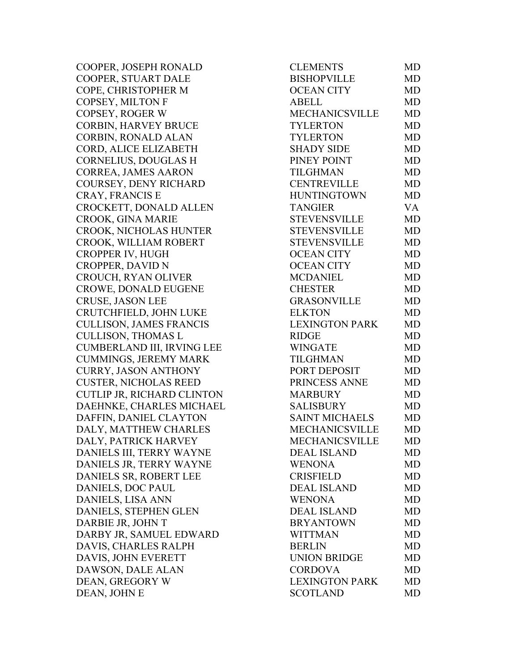COOPER, JOSEPH RONALD COOPER, STUART DALE COPE, CHRISTOPHER M COPSEY, MILTON F COPSEY, ROGER W CORBIN, HARVEY BRUCE CORBIN, RONALD ALAN CORD, ALICE ELIZABETH CORNELIUS, DOUGLAS H CORREA, JAMES AARON COURSEY, DENY RICHARD CRAY, FRANCIS E CROCKETT, DONALD ALLEN CROOK, GINA MARIE CROOK, NICHOLAS HUNTER CROOK, WILLIAM ROBERT CROPPER IV, HUGH CROPPER, DAVID N CROUCH, RYAN OLIVER CROWE, DONALD EUGENE CRUSE, JASON LEE CRUTCHFIELD, JOHN LUKE CULLISON, JAMES FRANCIS CULLISON, THOMAS L CUMBERLAND III, IRVING LEE CUMMINGS, JEREMY MARK CURRY, JASON ANTHONY **CUSTER, NICHOLAS REED** CUTLIP JR, RICHARD CLINTON DAEHNKE, CHARLES MICHAEL DAFFIN, DANIEL CLAYTON DALY, MATTHEW CHARLES DALY, PATRICK HARVEY DANIELS III, TERRY WAYNE DANIELS JR, TERRY WAYNE DANIELS SR, ROBERT LEE DANIELS, DOC PAUL DANIELS, LISA ANN DANIELS, STEPHEN GLEN DARBIE JR, JOHN T DARBY JR, SAMUEL EDWARD DAVIS, CHARLES RALPH DAVIS, JOHN EVERETT DAWSON, DALE ALAN DEAN, GREGORY W DEAN, JOHN E

| <b>CLEMENTS</b>       | MD        |
|-----------------------|-----------|
| <b>BISHOPVILLE</b>    | <b>MD</b> |
| <b>OCEAN CITY</b>     | <b>MD</b> |
| <b>ABELL</b>          | <b>MD</b> |
| MECHANICSVILLE        | <b>MD</b> |
| <b>TYLERTON</b>       | <b>MD</b> |
| <b>TYLERTON</b>       | MD        |
| <b>SHADY SIDE</b>     | <b>MD</b> |
| PINEY POINT           | <b>MD</b> |
| <b>TILGHMAN</b>       | <b>MD</b> |
| <b>CENTREVILLE</b>    | <b>MD</b> |
| <b>HUNTINGTOWN</b>    | <b>MD</b> |
| <b>TANGIER</b>        | <b>VA</b> |
| <b>STEVENSVILLE</b>   | <b>MD</b> |
| <b>STEVENSVILLE</b>   | <b>MD</b> |
| <b>STEVENSVILLE</b>   | <b>MD</b> |
| <b>OCEAN CITY</b>     | <b>MD</b> |
| <b>OCEAN CITY</b>     | <b>MD</b> |
| <b>MCDANIEL</b>       | <b>MD</b> |
| <b>CHESTER</b>        | <b>MD</b> |
| <b>GRASONVILLE</b>    | <b>MD</b> |
| <b>ELKTON</b>         | <b>MD</b> |
| <b>LEXINGTON PARK</b> | MD        |
| <b>RIDGE</b>          | <b>MD</b> |
| <b>WINGATE</b>        | <b>MD</b> |
| <b>TILGHMAN</b>       | <b>MD</b> |
| PORT DEPOSIT          | <b>MD</b> |
| PRINCESS ANNE         | <b>MD</b> |
| <b>MARBURY</b>        | <b>MD</b> |
| <b>SALISBURY</b>      | <b>MD</b> |
| <b>SAINT MICHAELS</b> | <b>MD</b> |
| <b>MECHANICSVILLE</b> | MD        |
| <b>MECHANICSVILLE</b> | MD        |
| <b>DEAL ISLAND</b>    | <b>MD</b> |
| <b>WENONA</b>         | <b>MD</b> |
| <b>CRISFIELD</b>      | MD        |
| <b>DEAL ISLAND</b>    | MD        |
| <b>WENONA</b>         | MD        |
| <b>DEAL ISLAND</b>    | <b>MD</b> |
| <b>BRYANTOWN</b>      | MD        |
| <b>WITTMAN</b>        | <b>MD</b> |
| <b>BERLIN</b>         | <b>MD</b> |
| <b>UNION BRIDGE</b>   | MD        |
| <b>CORDOVA</b>        | <b>MD</b> |
| <b>LEXINGTON PARK</b> | <b>MD</b> |
| <b>SCOTLAND</b>       | MD        |
|                       |           |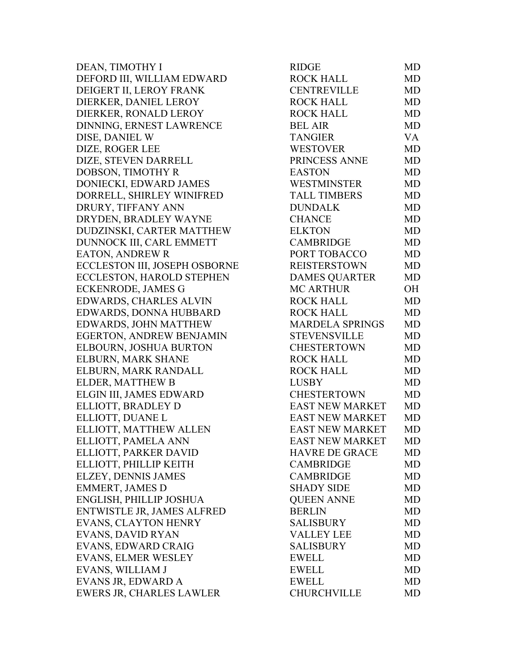DEAN, TIMOTHY I RIDGE MD DEFORD III, WILLIAM EDWARD DEIGERT II, LEROY FRANK DIERKER, DANIEL LEROY DIERKER, RONALD LEROY DINNING, ERNEST LAWRENCE DISE, DANIEL W DIZE, ROGER LEE DIZE, STEVEN DARRELL DOBSON, TIMOTHY R DONIECKI, EDWARD JAMES DORRELL, SHIRLEY WINIFRED DRURY, TIFFANY ANN DRYDEN, BRADLEY WAYNE DUDZINSKI, CARTER MATTHEW DUNNOCK III, CARL EMMETT EATON, ANDREW R ECCLESTON III, JOSEPH OSBORNE ECCLESTON, HAROLD STEPHEN ECKENRODE, JAMES G EDWARDS, CHARLES ALVIN EDWARDS, DONNA HUBBARD EDWARDS, JOHN MATTHEW EGERTON, ANDREW BENJAMIN ELBOURN, JOSHUA BURTON ELBURN, MARK SHANE ELBURN, MARK RANDALL ELDER, MATTHEW B ELGIN III, JAMES EDWARD ELLIOTT, BRADLEY D ELLIOTT, DUANE L ELLIOTT, MATTHEW ALLEN ELLIOTT, PAMELA ANN ELLIOTT, PARKER DAVID ELLIOTT, PHILLIP KEITH ELZEY, DENNIS JAMES EMMERT, JAMES D ENGLISH, PHILLIP JOSHUA ENTWISTLE JR, JAMES ALFRED EVANS, CLAYTON HENRY EVANS, DAVID RYAN EVANS, EDWARD CRAIG EVANS, ELMER WESLEY EVANS, WILLIAM J EVANS JR, EDWARD A EWERS JR, CHARLES LAWLER

| RIDGE                  | MD        |
|------------------------|-----------|
| <b>ROCK HALL</b>       | MD        |
| <b>CENTREVILLE</b>     | MD        |
| <b>ROCK HALL</b>       | <b>MD</b> |
| <b>ROCK HALL</b>       | <b>MD</b> |
| <b>BEL AIR</b>         | <b>MD</b> |
| <b>TANGIER</b>         | VA        |
| <b>WESTOVER</b>        | <b>MD</b> |
| PRINCESS ANNE          | <b>MD</b> |
| <b>EASTON</b>          | <b>MD</b> |
| <b>WESTMINSTER</b>     | MD        |
| <b>TALL TIMBERS</b>    | <b>MD</b> |
| <b>DUNDALK</b>         | <b>MD</b> |
| <b>CHANCE</b>          | <b>MD</b> |
| <b>ELKTON</b>          | <b>MD</b> |
| <b>CAMBRIDGE</b>       | <b>MD</b> |
| PORT TOBACCO           | <b>MD</b> |
| <b>REISTERSTOWN</b>    | <b>MD</b> |
| <b>DAMES QUARTER</b>   | <b>MD</b> |
| <b>MC ARTHUR</b>       | OН        |
| <b>ROCK HALL</b>       | <b>MD</b> |
| <b>ROCK HALL</b>       | <b>MD</b> |
| <b>MARDELA SPRINGS</b> | <b>MD</b> |
| <b>STEVENSVILLE</b>    | <b>MD</b> |
| <b>CHESTERTOWN</b>     | <b>MD</b> |
| <b>ROCK HALL</b>       | <b>MD</b> |
| <b>ROCK HALL</b>       | <b>MD</b> |
| <b>LUSBY</b>           | <b>MD</b> |
| <b>CHESTERTOWN</b>     | <b>MD</b> |
| <b>EAST NEW MARKET</b> | <b>MD</b> |
| <b>EAST NEW MARKET</b> | <b>MD</b> |
| <b>EAST NEW MARKET</b> | <b>MD</b> |
| EAST NEW MARKET        | MD        |
| <b>HAVRE DE GRACE</b>  | MD        |
| <b>CAMBRIDGE</b>       | <b>MD</b> |
| <b>CAMBRIDGE</b>       | <b>MD</b> |
| <b>SHADY SIDE</b>      | MD        |
| <b>QUEEN ANNE</b>      | <b>MD</b> |
| <b>BERLIN</b>          | <b>MD</b> |
| <b>SALISBURY</b>       | MD        |
| <b>VALLEY LEE</b>      | MD        |
| <b>SALISBURY</b>       | <b>MD</b> |
| <b>EWELL</b>           | <b>MD</b> |
| <b>EWELL</b>           | MD        |
| <b>EWELL</b>           | MD        |
| <b>CHURCHVILLE</b>     | <b>MD</b> |
|                        |           |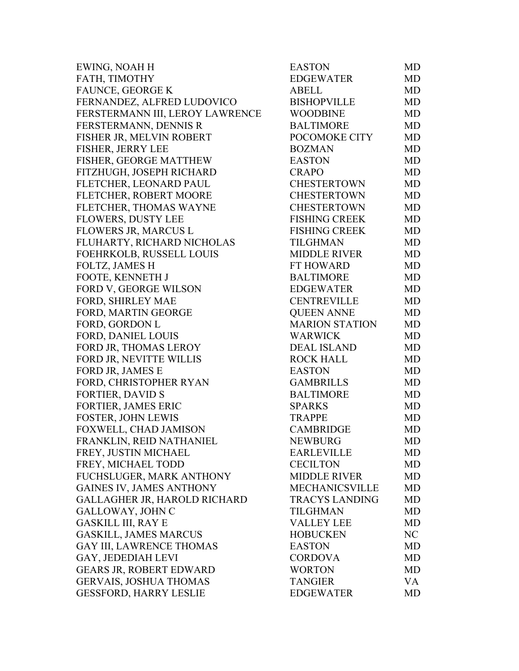| EWING, NOAH H                   | <b>EASTON</b>         | MD        |
|---------------------------------|-----------------------|-----------|
| FATH, TIMOTHY                   | <b>EDGEWATER</b>      | MD        |
| FAUNCE, GEORGE K                | <b>ABELL</b>          | MD        |
| FERNANDEZ, ALFRED LUDOVICO      | <b>BISHOPVILLE</b>    | MD        |
| FERSTERMANN III, LEROY LAWRENCE | <b>WOODBINE</b>       | MD        |
| FERSTERMANN, DENNIS R           | <b>BALTIMORE</b>      | <b>MD</b> |
| FISHER JR, MELVIN ROBERT        | POCOMOKE CITY         | MD        |
| <b>FISHER, JERRY LEE</b>        | <b>BOZMAN</b>         | MD        |
| FISHER, GEORGE MATTHEW          | <b>EASTON</b>         | MD        |
| FITZHUGH, JOSEPH RICHARD        | <b>CRAPO</b>          | MD        |
| FLETCHER, LEONARD PAUL          | <b>CHESTERTOWN</b>    | MD        |
| FLETCHER, ROBERT MOORE          | <b>CHESTERTOWN</b>    | MD        |
| FLETCHER, THOMAS WAYNE          | <b>CHESTERTOWN</b>    | MD        |
| <b>FLOWERS, DUSTY LEE</b>       | <b>FISHING CREEK</b>  | MD        |
| FLOWERS JR, MARCUS L            | <b>FISHING CREEK</b>  | MD        |
| FLUHARTY, RICHARD NICHOLAS      | <b>TILGHMAN</b>       | <b>MD</b> |
| FOEHRKOLB, RUSSELL LOUIS        | <b>MIDDLE RIVER</b>   | MD        |
| FOLTZ, JAMES H                  | FT HOWARD             | MD        |
| FOOTE, KENNETH J                | <b>BALTIMORE</b>      | <b>MD</b> |
| FORD V, GEORGE WILSON           | <b>EDGEWATER</b>      | MD        |
| FORD, SHIRLEY MAE               | <b>CENTREVILLE</b>    | MD        |
| FORD, MARTIN GEORGE             | <b>QUEEN ANNE</b>     | MD        |
| FORD, GORDON L                  | <b>MARION STATION</b> | MD        |
| <b>FORD, DANIEL LOUIS</b>       | <b>WARWICK</b>        | MD        |
| FORD JR, THOMAS LEROY           | <b>DEAL ISLAND</b>    | MD        |
| FORD JR, NEVITTE WILLIS         | <b>ROCK HALL</b>      | MD        |
| FORD JR, JAMES E                | <b>EASTON</b>         | MD        |
| FORD, CHRISTOPHER RYAN          | <b>GAMBRILLS</b>      | MD        |
| <b>FORTIER, DAVID S</b>         | <b>BALTIMORE</b>      | MD        |
| <b>FORTIER, JAMES ERIC</b>      | <b>SPARKS</b>         | MD        |
| <b>FOSTER, JOHN LEWIS</b>       | <b>TRAPPE</b>         | MD        |
| FOXWELL, CHAD JAMISON           | <b>CAMBRIDGE</b>      | <b>MD</b> |
| FRANKLIN, REID NATHANIEL        | <b>NEWBURG</b>        | MD        |
| FREY, JUSTIN MICHAEL            | <b>EARLEVILLE</b>     | MD        |
| FREY, MICHAEL TODD              | <b>CECILTON</b>       | MD        |
| FUCHSLUGER, MARK ANTHONY        | <b>MIDDLE RIVER</b>   | MD        |
| <b>GAINES IV, JAMES ANTHONY</b> | <b>MECHANICSVILLE</b> | MD        |
| GALLAGHER JR, HAROLD RICHARD    | <b>TRACYS LANDING</b> | MD        |
| GALLOWAY, JOHN C                | <b>TILGHMAN</b>       | MD        |
| <b>GASKILL III, RAY E</b>       | <b>VALLEY LEE</b>     | <b>MD</b> |
| <b>GASKILL, JAMES MARCUS</b>    | <b>HOBUCKEN</b>       | NC        |
| <b>GAY III, LAWRENCE THOMAS</b> | <b>EASTON</b>         | MD        |
| GAY, JEDEDIAH LEVI              | <b>CORDOVA</b>        | MD        |
| <b>GEARS JR, ROBERT EDWARD</b>  | <b>WORTON</b>         | MD        |
| <b>GERVAIS, JOSHUA THOMAS</b>   | <b>TANGIER</b>        | VA        |
| <b>GESSFORD, HARRY LESLIE</b>   | <b>EDGEWATER</b>      | MD        |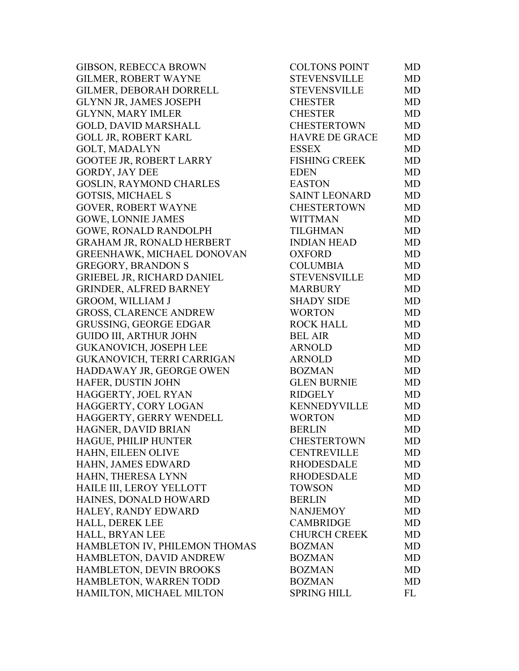GIBSON, REBECCA BROWN GILMER, ROBERT WAYNE GILMER, DEBORAH DORRELL GLYNN JR, JAMES JOSEPH **GLYNN, MARY IMLER** GOLD, DAVID MARSHALL GOLL JR, ROBERT KARL GOLT, MADALYN GOOTEE JR, ROBERT LARRY GORDY, JAY DEE GOSLIN, RAYMOND CHARLES GOTSIS, MICHAEL S GOVER, ROBERT WAYNE GOWE, LONNIE JAMES GOWE, RONALD RANDOLPH GRAHAM JR, RONALD HERBERT GREENHAWK, MICHAEL DONOVAN GREGORY, BRANDON S GRIEBEL JR, RICHARD DANIEL GRINDER, ALFRED BARNEY GROOM, WILLIAM J GROSS, CLARENCE ANDREW GRUSSING, GEORGE EDGAR GUIDO III, ARTHUR JOHN GUKANOVICH, JOSEPH LEE GUKANOVICH, TERRI CARRIGAN HADDAWAY JR, GEORGE OWEN HAFER, DUSTIN JOHN HAGGERTY, JOEL RYAN HAGGERTY, CORY LOGAN HAGGERTY, GERRY WENDELL HAGNER, DAVID BRIAN HAGUE, PHILIP HUNTER HAHN, EILEEN OLIVE HAHN, JAMES EDWARD HAHN, THERESA LYNN HAILE III, LEROY YELLOTT HAINES, DONALD HOWARD HALEY, RANDY EDWARD HALL, DEREK LEE HALL, BRYAN LEE CHURCH CREEK MD HAMBLETON IV, PHILEMON THOMAS HAMBLETON, DAVID ANDREW HAMBLETON, DEVIN BROOKS HAMBLETON, WARREN TODD HAMILTON, MICHAEL MILTON

| <b>COLTONS POINT</b>  | MD        |
|-----------------------|-----------|
| <b>STEVENSVILLE</b>   | <b>MD</b> |
| <b>STEVENSVILLE</b>   | <b>MD</b> |
| <b>CHESTER</b>        | <b>MD</b> |
| <b>CHESTER</b>        | <b>MD</b> |
| <b>CHESTERTOWN</b>    | <b>MD</b> |
| <b>HAVRE DE GRACE</b> | <b>MD</b> |
| <b>ESSEX</b>          | <b>MD</b> |
| <b>FISHING CREEK</b>  | <b>MD</b> |
| <b>EDEN</b>           | <b>MD</b> |
| <b>EASTON</b>         | <b>MD</b> |
| <b>SAINT LEONARD</b>  | <b>MD</b> |
| <b>CHESTERTOWN</b>    | <b>MD</b> |
| <b>WITTMAN</b>        | <b>MD</b> |
| <b>TILGHMAN</b>       | <b>MD</b> |
| <b>INDIAN HEAD</b>    | <b>MD</b> |
| <b>OXFORD</b>         | <b>MD</b> |
| <b>COLUMBIA</b>       | <b>MD</b> |
| <b>STEVENSVILLE</b>   | <b>MD</b> |
| <b>MARBURY</b>        | <b>MD</b> |
| <b>SHADY SIDE</b>     | <b>MD</b> |
| <b>WORTON</b>         | <b>MD</b> |
| <b>ROCK HALL</b>      | <b>MD</b> |
| <b>BEL AIR</b>        | <b>MD</b> |
| <b>ARNOLD</b>         | <b>MD</b> |
| <b>ARNOLD</b>         | <b>MD</b> |
| <b>BOZMAN</b>         | <b>MD</b> |
| <b>GLEN BURNIE</b>    | <b>MD</b> |
| <b>RIDGELY</b>        | <b>MD</b> |
| KENNEDYVILLE          | <b>MD</b> |
| <b>WORTON</b>         | <b>MD</b> |
| <b>BERLIN</b>         | MD        |
| <b>CHESTERTOWN</b>    | MD        |
| <b>CENTREVILLE</b>    | MD        |
| <b>RHODESDALE</b>     | <b>MD</b> |
| <b>RHODESDALE</b>     | MD        |
| <b>TOWSON</b>         | <b>MD</b> |
| <b>BERLIN</b>         | <b>MD</b> |
| <b>NANJEMOY</b>       | <b>MD</b> |
| <b>CAMBRIDGE</b>      | <b>MD</b> |
| <b>CHURCH CREEK</b>   | <b>MD</b> |
| <b>BOZMAN</b>         | <b>MD</b> |
| <b>BOZMAN</b>         | <b>MD</b> |
| <b>BOZMAN</b>         | <b>MD</b> |
| <b>BOZMAN</b>         | <b>MD</b> |
| <b>SPRING HILL</b>    | <b>FL</b> |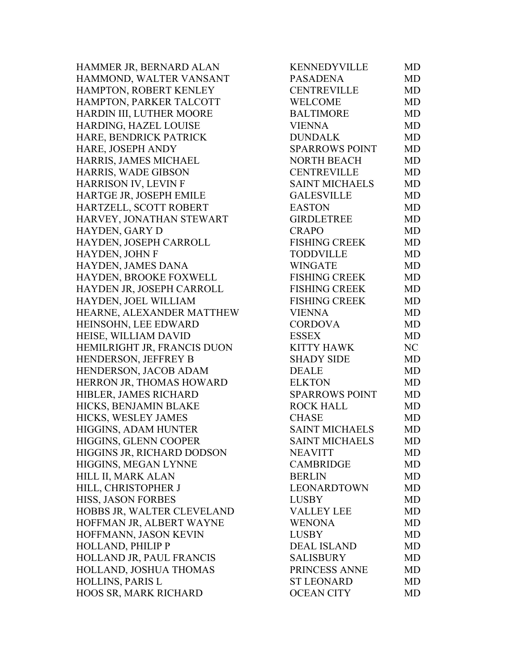HAMMER JR, BERNARD ALAN HAMMOND, WALTER VANSANT HAMPTON, ROBERT KENLEY HAMPTON, PARKER TALCOTT HARDIN III, LUTHER MOORE HARDING, HAZEL LOUISE HARE, BENDRICK PATRICK HARE, JOSEPH ANDY HARRIS, JAMES MICHAEL HARRIS, WADE GIBSON HARRISON IV, LEVIN F HARTGE JR, JOSEPH EMILE HARTZELL, SCOTT ROBERT HARVEY, JONATHAN STEWART HAYDEN, GARY D HAYDEN, JOSEPH CARROLL HAYDEN, JOHN F HAYDEN, JAMES DANA HAYDEN, BROOKE FOXWELL HAYDEN JR, JOSEPH CARROLL HAYDEN, JOEL WILLIAM HEARNE, ALEXANDER MATTHEW HEINSOHN, LEE EDWARD HEISE, WILLIAM DAVID HEMILRIGHT JR, FRANCIS DUON HENDERSON, JEFFREY B HENDERSON, JACOB ADAM HERRON JR, THOMAS HOWARD HIBLER, JAMES RICHARD HICKS, BENJAMIN BLAKE HICKS, WESLEY JAMES HIGGINS, ADAM HUNTER HIGGINS, GLENN COOPER HIGGINS JR, RICHARD DODSON HIGGINS, MEGAN LYNNE HILL II, MARK ALAN HILL, CHRISTOPHER J HISS, JASON FORBES HOBBS JR, WALTER CLEVELAND HOFFMAN JR, ALBERT WAYNE HOFFMANN, JASON KEVIN HOLLAND, PHILIP P HOLLAND JR, PAUL FRANCIS HOLLAND, JOSHUA THOMAS HOLLINS, PARIS L HOOS SR, MARK RICHARD

| KENNEDYVILLE          | <b>MD</b> |
|-----------------------|-----------|
| <b>PASADENA</b>       | <b>MD</b> |
| <b>CENTREVILLE</b>    | <b>MD</b> |
| <b>WELCOME</b>        | <b>MD</b> |
| <b>BALTIMORE</b>      | <b>MD</b> |
| <b>VIENNA</b>         | <b>MD</b> |
| <b>DUNDALK</b>        | <b>MD</b> |
| <b>SPARROWS POINT</b> | <b>MD</b> |
| <b>NORTH BEACH</b>    | <b>MD</b> |
| <b>CENTREVILLE</b>    | <b>MD</b> |
| <b>SAINT MICHAELS</b> | <b>MD</b> |
| <b>GALESVILLE</b>     | <b>MD</b> |
| <b>EASTON</b>         | <b>MD</b> |
| <b>GIRDLETREE</b>     | <b>MD</b> |
| CRAPO                 | <b>MD</b> |
| <b>FISHING CREEK</b>  | <b>MD</b> |
| <b>TODDVILLE</b>      | <b>MD</b> |
| <b>WINGATE</b>        | <b>MD</b> |
| <b>FISHING CREEK</b>  | <b>MD</b> |
| <b>FISHING CREEK</b>  | <b>MD</b> |
| <b>FISHING CREEK</b>  | <b>MD</b> |
| <b>VIENNA</b>         | <b>MD</b> |
| <b>CORDOVA</b>        | <b>MD</b> |
| <b>ESSEX</b>          | <b>MD</b> |
| <b>KITTY HAWK</b>     | NC        |
| <b>SHADY SIDE</b>     | <b>MD</b> |
| <b>DEALE</b>          | <b>MD</b> |
| <b>ELKTON</b>         | <b>MD</b> |
| <b>SPARROWS POINT</b> | <b>MD</b> |
| <b>ROCK HALL</b>      | MD        |
| <b>CHASE</b>          | <b>MD</b> |
| <b>SAINT MICHAELS</b> | <b>MD</b> |
| <b>SAINT MICHAELS</b> | MD        |
| <b>NEAVITT</b>        | MD        |
| <b>CAMBRIDGE</b>      | <b>MD</b> |
| <b>BERLIN</b>         | MD        |
| <b>LEONARDTOWN</b>    | <b>MD</b> |
| <b>LUSBY</b>          | <b>MD</b> |
| <b>VALLEY LEE</b>     | <b>MD</b> |
| <b>WENONA</b>         | <b>MD</b> |
| <b>LUSBY</b>          | <b>MD</b> |
| <b>DEAL ISLAND</b>    | MD        |
| <b>SALISBURY</b>      | <b>MD</b> |
| PRINCESS ANNE         | <b>MD</b> |
| <b>ST LEONARD</b>     | MD        |
| <b>OCEAN CITY</b>     | MD        |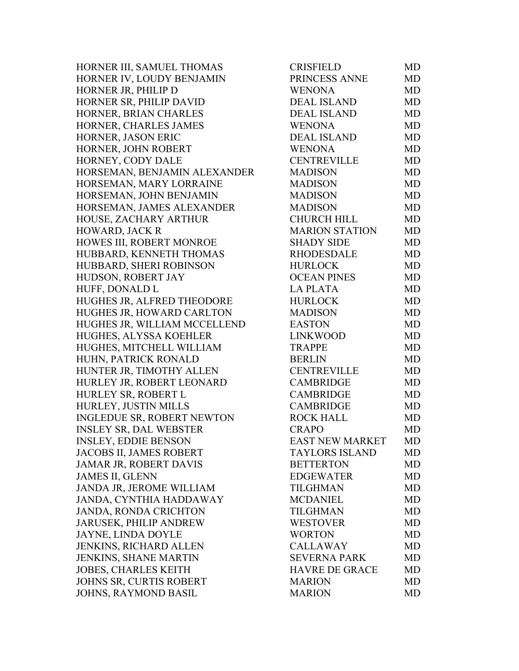HORNER III, SAMUEL THOMAS HORNER IV, LOUDY BENJAMIN HORNER JR, PHILIP D HORNER SR, PHILIP DAVID HORNER, BRIAN CHARLES HORNER, CHARLES JAMES HORNER, JASON ERIC HORNER, JOHN ROBERT HORNEY, CODY DALE HORSEMAN, BENJAMIN ALEXANDER HORSEMAN, MARY LORRAINE HORSEMAN, JOHN BENJAMIN HORSEMAN, JAMES ALEXANDER HOUSE, ZACHARY ARTHUR HOWARD, JACK R HOWES III, ROBERT MONROE HUBBARD, KENNETH THOMAS HUBBARD, SHERI ROBINSON HUDSON, ROBERT JAY HUFF, DONALD L HUGHES JR, ALFRED THEODORE HUGHES JR, HOWARD CARLTON HUGHES JR, WILLIAM MCCELLEND HUGHES, ALYSSA KOEHLER HUGHES, MITCHELL WILLIAM HUHN, PATRICK RONALD HUNTER JR, TIMOTHY ALLEN HURLEY JR, ROBERT LEONARD HURLEY SR, ROBERT L HURLEY, JUSTIN MILLS INGLEDUE SR, ROBERT NEWTON INSLEY SR, DAL WEBSTER INSLEY, EDDIE BENSON JACOBS II, JAMES ROBERT JAMAR JR, ROBERT DAVIS JAMES II, GLENN JANDA JR, JEROME WILLIAM JANDA, CYNTHIA HADDAWAY JANDA, RONDA CRICHTON JARUSEK, PHILIP ANDREW JAYNE, LINDA DOYLE JENKINS, RICHARD ALLEN JENKINS, SHANE MARTIN JOBES, CHARLES KEITH JOHNS SR, CURTIS ROBERT JOHNS, RAYMOND BASIL

| CRISFIELD              | MD        |
|------------------------|-----------|
| PRINCESS ANNE          | MD        |
| <b>WENONA</b>          | MD        |
| <b>DEAL ISLAND</b>     | <b>MD</b> |
| <b>DEAL ISLAND</b>     | <b>MD</b> |
| <b>WENONA</b>          | <b>MD</b> |
| <b>DEAL ISLAND</b>     | <b>MD</b> |
| <b>WENONA</b>          | <b>MD</b> |
| <b>CENTREVILLE</b>     | <b>MD</b> |
| <b>MADISON</b>         | <b>MD</b> |
| <b>MADISON</b>         | MD        |
| <b>MADISON</b>         | <b>MD</b> |
| <b>MADISON</b>         | <b>MD</b> |
| <b>CHURCH HILL</b>     | <b>MD</b> |
| <b>MARION STATION</b>  | <b>MD</b> |
| <b>SHADY SIDE</b>      | MD        |
| <b>RHODESDALE</b>      | <b>MD</b> |
| <b>HURLOCK</b>         | <b>MD</b> |
| <b>OCEAN PINES</b>     | <b>MD</b> |
| <b>LA PLATA</b>        | <b>MD</b> |
| <b>HURLOCK</b>         | <b>MD</b> |
| <b>MADISON</b>         | <b>MD</b> |
| <b>EASTON</b>          | <b>MD</b> |
| <b>LINKWOOD</b>        | <b>MD</b> |
| <b>TRAPPE</b>          | <b>MD</b> |
| <b>BERLIN</b>          | <b>MD</b> |
| <b>CENTREVILLE</b>     | <b>MD</b> |
| <b>CAMBRIDGE</b>       | <b>MD</b> |
| <b>CAMBRIDGE</b>       | <b>MD</b> |
| <b>CAMBRIDGE</b>       | <b>MD</b> |
| <b>ROCK HALL</b>       | <b>MD</b> |
| <b>CRAPO</b>           | <b>MD</b> |
| <b>EAST NEW MARKET</b> | MD        |
| <b>TAYLORS ISLAND</b>  | MD        |
| <b>BETTERTON</b>       | <b>MD</b> |
| <b>EDGEWATER</b>       | <b>MD</b> |
| <b>TILGHMAN</b>        | <b>MD</b> |
| <b>MCDANIEL</b>        | <b>MD</b> |
| <b>TILGHMAN</b>        | <b>MD</b> |
| <b>WESTOVER</b>        | <b>MD</b> |
| <b>WORTON</b>          | <b>MD</b> |
| <b>CALLAWAY</b>        | <b>MD</b> |
| <b>SEVERNA PARK</b>    | <b>MD</b> |
| <b>HAVRE DE GRACE</b>  | <b>MD</b> |
| <b>MARION</b>          | <b>MD</b> |
| <b>MARION</b>          | <b>MD</b> |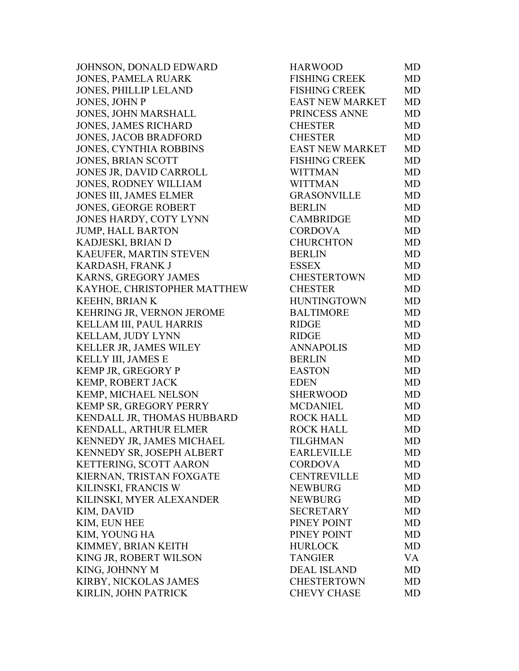JOHNSON, DONALD EDWARD JONES, PAMELA RUARK JONES, PHILLIP LELAND JONES, JOHN P JONES, JOHN MARSHALL JONES, JAMES RICHARD JONES, JACOB BRADFORD JONES, CYNTHIA ROBBINS JONES, BRIAN SCOTT JONES JR, DAVID CARROLL JONES, RODNEY WILLIAM JONES III, JAMES ELMER JONES, GEORGE ROBERT JONES HARDY, COTY LYNN JUMP, HALL BARTON KADJESKI, BRIAN D KAEUFER, MARTIN STEVEN KARDASH, FRANK J KARNS, GREGORY JAMES KAYHOE, CHRISTOPHER MATTHEW KEEHN, BRIAN K KEHRING JR, VERNON JEROME KELLAM III, PAUL HARRIS KELLAM, JUDY LYNN KELLER JR, JAMES WILEY KELLY III, JAMES E KEMP JR, GREGORY P KEMP, ROBERT JACK KEMP, MICHAEL NELSON KEMP SR, GREGORY PERRY KENDALL JR, THOMAS HUBBARD KENDALL, ARTHUR ELMER KENNEDY JR, JAMES MICHAEL KENNEDY SR, JOSEPH ALBERT KETTERING, SCOTT AARON KIERNAN, TRISTAN FOXGATE KILINSKI, FRANCIS W KILINSKI, MYER ALEXANDER KIM, DAVID KIM, EUN HEE KIM, YOUNG HA KIMMEY, BRIAN KEITH KING JR, ROBERT WILSON KING, JOHNNY M KIRBY, NICKOLAS JAMES KIRLIN, JOHN PATRICK

| <b>HARWOOD</b>         | <b>MD</b> |
|------------------------|-----------|
| <b>FISHING CREEK</b>   | <b>MD</b> |
| <b>FISHING CREEK</b>   | <b>MD</b> |
| <b>EAST NEW MARKET</b> | <b>MD</b> |
| PRINCESS ANNE          | <b>MD</b> |
| <b>CHESTER</b>         | <b>MD</b> |
| <b>CHESTER</b>         | <b>MD</b> |
| EAST NEW MARKET        | <b>MD</b> |
| <b>FISHING CREEK</b>   | <b>MD</b> |
| <b>WITTMAN</b>         | <b>MD</b> |
| <b>WITTMAN</b>         | <b>MD</b> |
| <b>GRASONVILLE</b>     | <b>MD</b> |
| <b>BERLIN</b>          | <b>MD</b> |
| <b>CAMBRIDGE</b>       | <b>MD</b> |
| <b>CORDOVA</b>         | <b>MD</b> |
| <b>CHURCHTON</b>       | <b>MD</b> |
| <b>BERLIN</b>          | <b>MD</b> |
| <b>ESSEX</b>           | <b>MD</b> |
| <b>CHESTERTOWN</b>     | <b>MD</b> |
| <b>CHESTER</b>         | <b>MD</b> |
| <b>HUNTINGTOWN</b>     | <b>MD</b> |
| <b>BALTIMORE</b>       | <b>MD</b> |
| <b>RIDGE</b>           | <b>MD</b> |
| <b>RIDGE</b>           | <b>MD</b> |
| <b>ANNAPOLIS</b>       | <b>MD</b> |
| <b>BERLIN</b>          | <b>MD</b> |
| <b>EASTON</b>          | <b>MD</b> |
| <b>EDEN</b>            | <b>MD</b> |
| <b>SHERWOOD</b>        | <b>MD</b> |
| <b>MCDANIEL</b>        | <b>MD</b> |
| <b>ROCK HALL</b>       | <b>MD</b> |
| <b>ROCK HALL</b>       | <b>MD</b> |
| <b>TILGHMAN</b>        | MD        |
| <b>EARLEVILLE</b>      | <b>MD</b> |
| <b>CORDOVA</b>         | <b>MD</b> |
| <b>CENTREVILLE</b>     | <b>MD</b> |
| <b>NEWBURG</b>         | <b>MD</b> |
| <b>NEWBURG</b>         | <b>MD</b> |
| <b>SECRETARY</b>       | MD        |
| PINEY POINT            | <b>MD</b> |
| PINEY POINT            | <b>MD</b> |
| <b>HURLOCK</b>         | <b>MD</b> |
| <b>TANGIER</b>         | VA        |
| <b>DEAL ISLAND</b>     | <b>MD</b> |
| <b>CHESTERTOWN</b>     | <b>MD</b> |
| <b>CHEVY CHASE</b>     | <b>MD</b> |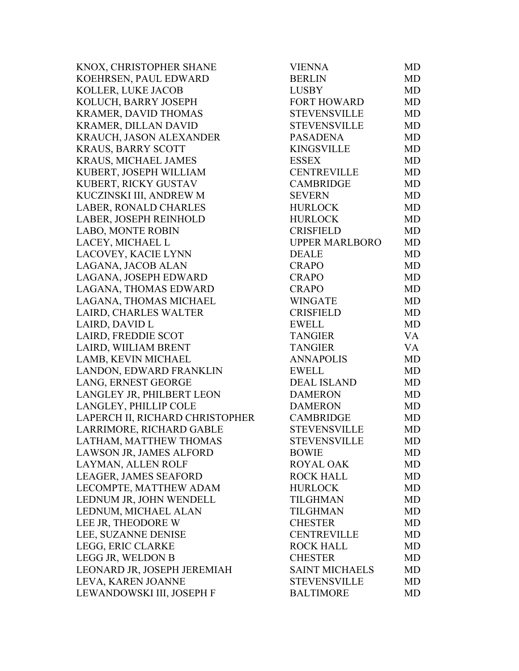KNOX, CHRISTOPHER SHANE KOEHRSEN, PAUL EDWARD KOLLER, LUKE JACOB KOLUCH, BARRY JOSEPH KRAMER, DAVID THOMAS KRAMER, DILLAN DAVID KRAUCH, JASON ALEXANDER KRAUS, BARRY SCOTT KRAUS, MICHAEL JAMES KUBERT, JOSEPH WILLIAM KUBERT, RICKY GUSTAV KUCZINSKI III, ANDREW M LABER, RONALD CHARLES LABER, JOSEPH REINHOLD LABO, MONTE ROBIN LACEY, MICHAEL L LACOVEY, KACIE LYNN LAGANA, JACOB ALAN LAGANA, JOSEPH EDWARD LAGANA, THOMAS EDWARD LAGANA, THOMAS MICHAEL LAIRD, CHARLES WALTER LAIRD, DAVID L LAIRD, FREDDIE SCOT LAIRD, WIILIAM BRENT LAMB, KEVIN MICHAEL LANDON, EDWARD FRANKLIN LANG, ERNEST GEORGE LANGLEY JR, PHILBERT LEON LANGLEY, PHILLIP COLE LAPERCH II, RICHARD CHRISTOPHER LARRIMORE, RICHARD GABLE LATHAM, MATTHEW THOMAS LAWSON JR, JAMES ALFORD LAYMAN, ALLEN ROLF LEAGER, JAMES SEAFORD LECOMPTE, MATTHEW ADAM LEDNUM JR, JOHN WENDELL LEDNUM, MICHAEL ALAN LEE JR, THEODORE W LEE, SUZANNE DENISE LEGG, ERIC CLARKE LEGG JR, WELDON B LEONARD JR, JOSEPH JEREMIAH LEVA, KAREN JOANNE LEWANDOWSKI III, JOSEPH F

| <b>VIENNA</b>         | MD        |
|-----------------------|-----------|
| <b>BERLIN</b>         | <b>MD</b> |
| <b>LUSBY</b>          | <b>MD</b> |
| <b>FORT HOWARD</b>    | <b>MD</b> |
| <b>STEVENSVILLE</b>   | <b>MD</b> |
| <b>STEVENSVILLE</b>   | <b>MD</b> |
| <b>PASADENA</b>       | <b>MD</b> |
| <b>KINGSVILLE</b>     | <b>MD</b> |
| <b>ESSEX</b>          | MD        |
| <b>CENTREVILLE</b>    | <b>MD</b> |
| <b>CAMBRIDGE</b>      | <b>MD</b> |
| <b>SEVERN</b>         | <b>MD</b> |
| <b>HURLOCK</b>        | <b>MD</b> |
| <b>HURLOCK</b>        | <b>MD</b> |
| <b>CRISFIELD</b>      | <b>MD</b> |
| <b>UPPER MARLBORO</b> | <b>MD</b> |
| <b>DEALE</b>          | <b>MD</b> |
| <b>CRAPO</b>          | <b>MD</b> |
| <b>CRAPO</b>          | <b>MD</b> |
| <b>CRAPO</b>          | <b>MD</b> |
| <b>WINGATE</b>        | <b>MD</b> |
| <b>CRISFIELD</b>      | MD        |
| <b>EWELL</b>          | <b>MD</b> |
| <b>TANGIER</b>        | <b>VA</b> |
| <b>TANGIER</b>        | <b>VA</b> |
| <b>ANNAPOLIS</b>      | <b>MD</b> |
| <b>EWELL</b>          | <b>MD</b> |
| <b>DEAL ISLAND</b>    | <b>MD</b> |
| <b>DAMERON</b>        | MD        |
| <b>DAMERON</b>        | <b>MD</b> |
| <b>CAMBRIDGE</b>      | <b>MD</b> |
| <b>STEVENSVILLE</b>   | <b>MD</b> |
| <b>STEVENSVILLE</b>   | MD        |
| <b>BOWIE</b>          | MD        |
| <b>ROYAL OAK</b>      | MD        |
| <b>ROCK HALL</b>      | MD        |
| <b>HURLOCK</b>        | MD        |
| <b>TILGHMAN</b>       | <b>MD</b> |
| <b>TILGHMAN</b>       | <b>MD</b> |
| <b>CHESTER</b>        | <b>MD</b> |
| <b>CENTREVILLE</b>    | MD        |
| <b>ROCK HALL</b>      | MD        |
| <b>CHESTER</b>        | <b>MD</b> |
| <b>SAINT MICHAELS</b> | <b>MD</b> |
| <b>STEVENSVILLE</b>   | MD        |
| <b>BALTIMORE</b>      | <b>MD</b> |
|                       |           |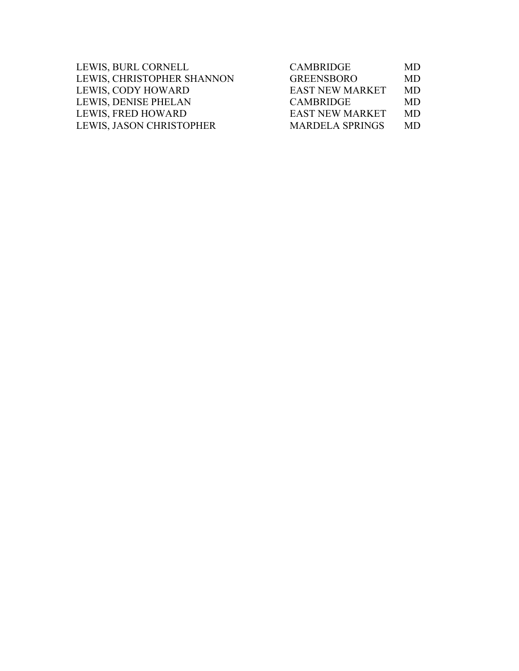| LEWIS, BURL CORNELL        | <b>CAMBRIDGE</b>       | MD.       |
|----------------------------|------------------------|-----------|
| LEWIS, CHRISTOPHER SHANNON | <b>GREENSBORO</b>      | MD.       |
| LEWIS, CODY HOWARD         | <b>EAST NEW MARKET</b> | <b>MD</b> |
| LEWIS, DENISE PHELAN       | <b>CAMBRIDGE</b>       | MD.       |
| LEWIS, FRED HOWARD         | <b>EAST NEW MARKET</b> | MD.       |
| LEWIS, JASON CHRISTOPHER   | <b>MARDELA SPRINGS</b> | MD.       |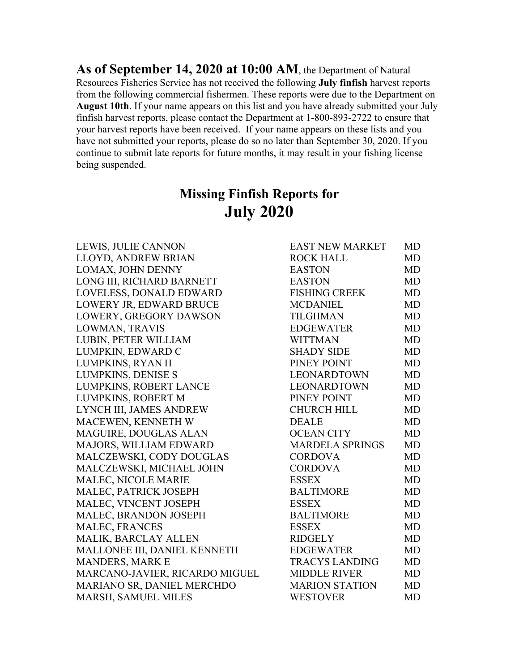**As of September 14, 2020 at 10:00 AM**, the Department of Natural Resources Fisheries Service has not received the following **July finfish** harvest reports from the following commercial fishermen. These reports were due to the Department on **August 10th**. If your name appears on this list and you have already submitted your July finfish harvest reports, please contact the Department at 1-800-893-2722 to ensure that your harvest reports have been received. If your name appears on these lists and you have not submitted your reports, please do so no later than September 30, 2020. If you continue to submit late reports for future months, it may result in your fishing license being suspended.

## **Missing Finfish Reports for July 2020**

LEWIS, JULIE CANNON LLOYD, ANDREW BRIAN LOMAX, JOHN DENNY LONG III, RICHARD BARNETT LOVELESS, DONALD EDWARD LOWERY JR, EDWARD BRUCE LOWERY, GREGORY DAWSON LOWMAN, TRAVIS LUBIN, PETER WILLIAM LUMPKIN, EDWARD C LUMPKINS, RYAN H LUMPKINS, DENISE S LUMPKINS, ROBERT LANCE LUMPKINS, ROBERT M LYNCH III, JAMES ANDREW MACEWEN, KENNETH W MAGUIRE, DOUGLAS ALAN MAJORS, WILLIAM EDWARD MALCZEWSKI, CODY DOUGLAS MALCZEWSKI, MICHAEL JOHN MALEC, NICOLE MARIE MALEC, PATRICK JOSEPH MALEC, VINCENT JOSEPH MALEC, BRANDON JOSEPH MALEC, FRANCES MALIK, BARCLAY ALLEN MALLONEE III, DANIEL KENNETH MANDERS, MARK E MARCANO-JAVIER, RICARDO MIGUEL MARIANO SR, DANIEL MERCHDO MARSH, SAMUEL MILES WESTOVER MD

| <b>EAST NEW MARKET</b> | <b>MD</b> |
|------------------------|-----------|
| <b>ROCK HALL</b>       | <b>MD</b> |
| <b>EASTON</b>          | <b>MD</b> |
| <b>EASTON</b>          | <b>MD</b> |
| <b>FISHING CREEK</b>   | MD        |
| <b>MCDANIEL</b>        | <b>MD</b> |
| <b>TILGHMAN</b>        | <b>MD</b> |
| <b>EDGEWATER</b>       | <b>MD</b> |
| <b>WITTMAN</b>         | <b>MD</b> |
| <b>SHADY SIDE</b>      | <b>MD</b> |
| PINEY POINT            | <b>MD</b> |
| <b>LEONARDTOWN</b>     | <b>MD</b> |
| <b>LEONARDTOWN</b>     | <b>MD</b> |
| PINEY POINT            | <b>MD</b> |
| <b>CHURCH HILL</b>     | <b>MD</b> |
| <b>DEALE</b>           | MD        |
| <b>OCEAN CITY</b>      | <b>MD</b> |
| <b>MARDELA SPRINGS</b> | MD        |
| <b>CORDOVA</b>         | <b>MD</b> |
| <b>CORDOVA</b>         | <b>MD</b> |
| <b>ESSEX</b>           | <b>MD</b> |
| <b>BALTIMORE</b>       | <b>MD</b> |
| <b>ESSEX</b>           | MD        |
| <b>BALTIMORE</b>       | <b>MD</b> |
| <b>ESSEX</b>           | MD        |
| <b>RIDGELY</b>         | <b>MD</b> |
| <b>EDGEWATER</b>       | MD        |
| <b>TRACYS LANDING</b>  | <b>MD</b> |
| <b>MIDDLE RIVER</b>    | MD        |
| <b>MARION STATION</b>  | <b>MD</b> |
| <b>WESTOVED</b>        | MT        |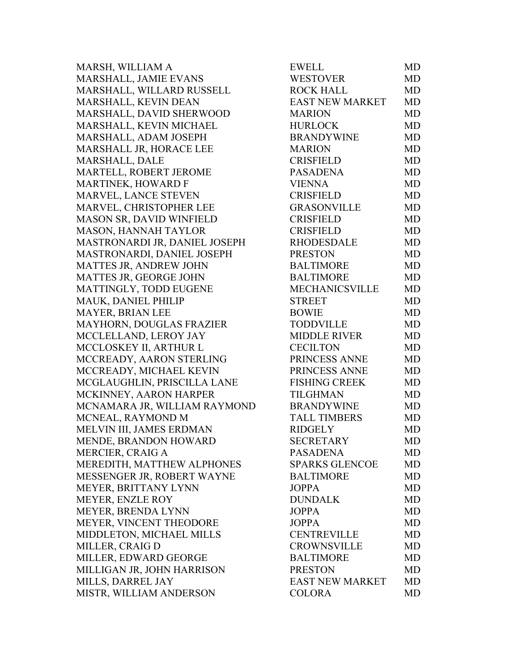MARSH, WILLIAM A MARSHALL, JAMIE EVANS MARSHALL, WILLARD RUSSELL MARSHALL, KEVIN DEAN MARSHALL, DAVID SHERWOOD MARSHALL, KEVIN MICHAEL MARSHALL, ADAM JOSEPH MARSHALL JR, HORACE LEE MARSHALL, DALE MARTELL, ROBERT JEROME MARTINEK, HOWARD F MARVEL, LANCE STEVEN MARVEL, CHRISTOPHER LEE MASON SR, DAVID WINFIELD MASON, HANNAH TAYLOR MASTRONARDI JR, DANIEL JOSEPH MASTRONARDI, DANIEL JOSEPH MATTES JR, ANDREW JOHN MATTES JR, GEORGE JOHN MATTINGLY, TODD EUGENE MAUK, DANIEL PHILIP MAYER, BRIAN LEE MAYHORN, DOUGLAS FRAZIER MCCLELLAND, LEROY JAY MCCLOSKEY II, ARTHUR L MCCREADY, AARON STERLING MCCREADY, MICHAEL KEVIN MCGLAUGHLIN, PRISCILLA LANE MCKINNEY, AARON HARPER MCNAMARA JR, WILLIAM RAYMOND MCNEAL, RAYMOND M MELVIN III, JAMES ERDMAN MENDE, BRANDON HOWARD MERCIER, CRAIG A MEREDITH, MATTHEW ALPHONES MESSENGER JR, ROBERT WAYNE MEYER, BRITTANY LYNN MEYER, ENZLE ROY MEYER, BRENDA LYNN MEYER, VINCENT THEODORE MIDDLETON, MICHAEL MILLS MILLER, CRAIG D MILLER, EDWARD GEORGE MILLIGAN JR, JOHN HARRISON MILLS, DARREL JAY MISTR, WILLIAM ANDERSON

| <b>EWELL</b>           | <b>MD</b> |
|------------------------|-----------|
| <b>WESTOVER</b>        | <b>MD</b> |
| <b>ROCK HALL</b>       | MD        |
| EAST NEW MARKET        | <b>MD</b> |
| <b>MARION</b>          | MD        |
| <b>HURLOCK</b>         | <b>MD</b> |
| <b>BRANDYWINE</b>      | <b>MD</b> |
| <b>MARION</b>          | <b>MD</b> |
| <b>CRISFIELD</b>       | <b>MD</b> |
| <b>PASADENA</b>        | <b>MD</b> |
| <b>VIENNA</b>          | <b>MD</b> |
| <b>CRISFIELD</b>       | <b>MD</b> |
| <b>GRASONVILLE</b>     | MD        |
| <b>CRISFIELD</b>       | <b>MD</b> |
| <b>CRISFIELD</b>       | <b>MD</b> |
| <b>RHODESDALE</b>      | <b>MD</b> |
| <b>PRESTON</b>         | MD        |
| <b>BALTIMORE</b>       | MD        |
| <b>BALTIMORE</b>       | MD        |
| <b>MECHANICSVILLE</b>  | <b>MD</b> |
| <b>STREET</b>          | <b>MD</b> |
| <b>BOWIE</b>           | <b>MD</b> |
| <b>TODDVILLE</b>       | MD        |
| <b>MIDDLE RIVER</b>    | MD        |
| <b>CECILTON</b>        | <b>MD</b> |
| PRINCESS ANNE          | MD        |
| PRINCESS ANNE          | <b>MD</b> |
| <b>FISHING CREEK</b>   | <b>MD</b> |
| <b>TILGHMAN</b>        | <b>MD</b> |
| <b>BRANDYWINE</b>      | <b>MD</b> |
| <b>TALL TIMBERS</b>    | <b>MD</b> |
| <b>RIDGELY</b>         | <b>MD</b> |
| <b>SECRETARY</b>       | MD        |
| <b>PASADENA</b>        | MD        |
| <b>SPARKS GLENCOE</b>  | MD        |
| <b>BALTIMORE</b>       | MD        |
| <b>JOPPA</b>           | <b>MD</b> |
| <b>DUNDALK</b>         | MD        |
| <b>JOPPA</b>           | MD        |
| <b>JOPPA</b>           | <b>MD</b> |
| <b>CENTREVILLE</b>     | MD        |
| <b>CROWNSVILLE</b>     | MD        |
| <b>BALTIMORE</b>       | <b>MD</b> |
| <b>PRESTON</b>         | MD        |
| <b>EAST NEW MARKET</b> | <b>MD</b> |
| <b>COLORA</b>          | MD        |
|                        |           |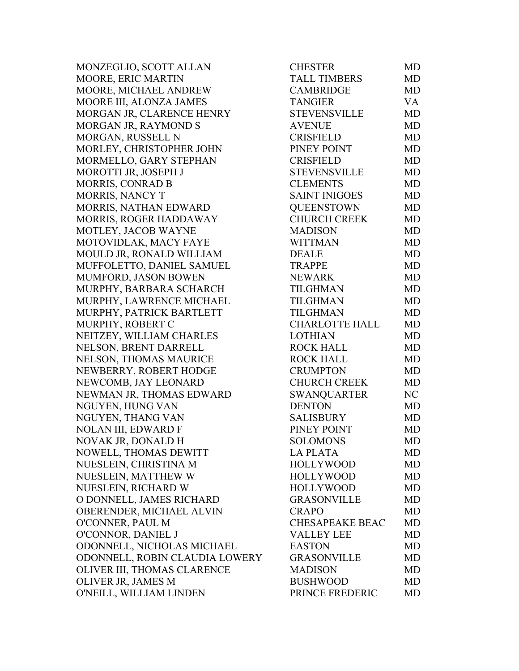MONZEGLIO, SCOTT ALLAN MOORE, ERIC MARTIN MOORE, MICHAEL ANDREW MOORE III, ALONZA JAMES MORGAN JR, CLARENCE HENRY MORGAN JR, RAYMOND S MORGAN, RUSSELL N MORLEY, CHRISTOPHER JOHN MORMELLO, GARY STEPHAN MOROTTI JR, JOSEPH J MORRIS, CONRAD B MORRIS, NANCY T MORRIS, NATHAN EDWARD MORRIS, ROGER HADDAWAY MOTLEY, JACOB WAYNE MOTOVIDLAK, MACY FAYE MOULD JR, RONALD WILLIAM MUFFOLETTO, DANIEL SAMUEL MUMFORD, JASON BOWEN MURPHY, BARBARA SCHARCH MURPHY, LAWRENCE MICHAEL MURPHY, PATRICK BARTLETT MURPHY, ROBERT C NEITZEY, WILLIAM CHARLES NELSON, BRENT DARRELL NELSON, THOMAS MAURICE NEWBERRY, ROBERT HODGE NEWCOMB, JAY LEONARD NEWMAN JR, THOMAS EDWARD NGUYEN, HUNG VAN NGUYEN, THANG VAN NOLAN III, EDWARD F NOVAK JR, DONALD H NOWELL, THOMAS DEWITT NUESLEIN, CHRISTINA M NUESLEIN, MATTHEW W NUESLEIN, RICHARD W O DONNELL, JAMES RICHARD OBERENDER, MICHAEL ALVIN O'CONNER, PAUL M O'CONNOR, DANIEL J ODONNELL, NICHOLAS MICHAEL ODONNELL, ROBIN CLAUDIA LOWERY OLIVER III, THOMAS CLARENCE OLIVER JR, JAMES M O'NEILL, WILLIAM LINDEN

| <b>CHESTER</b>         | MD        |
|------------------------|-----------|
| <b>TALL TIMBERS</b>    | <b>MD</b> |
| <b>CAMBRIDGE</b>       | MD        |
| <b>TANGIER</b>         | <b>VA</b> |
| <b>STEVENSVILLE</b>    | <b>MD</b> |
| <b>AVENUE</b>          | MD        |
| <b>CRISFIELD</b>       | <b>MD</b> |
| PINEY POINT            | <b>MD</b> |
| <b>CRISFIELD</b>       | MD        |
| <b>STEVENSVILLE</b>    | <b>MD</b> |
| <b>CLEMENTS</b>        | <b>MD</b> |
| <b>SAINT INIGOES</b>   | <b>MD</b> |
| <b>QUEENSTOWN</b>      | MD        |
| <b>CHURCH CREEK</b>    | <b>MD</b> |
| <b>MADISON</b>         | <b>MD</b> |
| <b>WITTMAN</b>         | MD        |
| <b>DEALE</b>           | <b>MD</b> |
| <b>TRAPPE</b>          | <b>MD</b> |
| <b>NEWARK</b>          | MD        |
| <b>TILGHMAN</b>        | <b>MD</b> |
| <b>TILGHMAN</b>        | <b>MD</b> |
| <b>TILGHMAN</b>        | <b>MD</b> |
| <b>CHARLOTTE HALL</b>  | MD        |
| <b>LOTHIAN</b>         | <b>MD</b> |
| <b>ROCK HALL</b>       | <b>MD</b> |
| <b>ROCK HALL</b>       | MD        |
| <b>CRUMPTON</b>        | <b>MD</b> |
| <b>CHURCH CREEK</b>    | <b>MD</b> |
| <b>SWANQUARTER</b>     | NC        |
| <b>DENTON</b>          | <b>MD</b> |
| <b>SALISBURY</b>       | <b>MD</b> |
| PINEY POINT            | <b>MD</b> |
| <b>SOLOMONS</b>        | <b>MD</b> |
| <b>LA PLATA</b>        | MD        |
| <b>HOLLYWOOD</b>       | <b>MD</b> |
| <b>HOLLYWOOD</b>       | MD        |
| <b>HOLLYWOOD</b>       | MD        |
| <b>GRASONVILLE</b>     | <b>MD</b> |
| <b>CRAPO</b>           | MD        |
| <b>CHESAPEAKE BEAC</b> | MD        |
| <b>VALLEY LEE</b>      | <b>MD</b> |
| <b>EASTON</b>          | MD        |
| <b>GRASONVILLE</b>     | MD        |
| <b>MADISON</b>         | MD        |
| <b>BUSHWOOD</b>        | <b>MD</b> |
| PRINCE FREDERIC        | MD        |
|                        |           |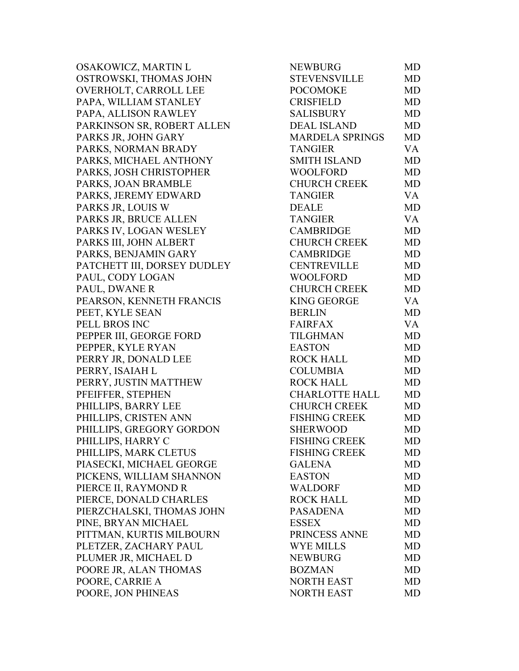OSAKOWICZ, MARTIN L OSTROWSKI, THOMAS JOHN OVERHOLT, CARROLL LEE PAPA, WILLIAM STANLEY PAPA, ALLISON RAWLEY PARKINSON SR, ROBERT ALLEN PARKS JR, JOHN GARY PARKS, NORMAN BRADY PARKS, MICHAEL ANTHONY PARKS, JOSH CHRISTOPHER PARKS, JOAN BRAMBLE PARKS, JEREMY EDWARD PARKS JR, LOUIS W PARKS JR, BRUCE ALLEN PARKS IV, LOGAN WESLEY PARKS III, JOHN ALBERT PARKS, BENJAMIN GARY PATCHETT III, DORSEY DUDLEY PAUL, CODY LOGAN PAUL, DWANE R PEARSON, KENNETH FRANCIS PEET, KYLE SEAN PELL BROS INC PEPPER III, GEORGE FORD PEPPER, KYLE RYAN PERRY JR, DONALD LEE PERRY, ISAIAH L PERRY, JUSTIN MATTHEW PFEIFFER, STEPHEN PHILLIPS, BARRY LEE PHILLIPS, CRISTEN ANN PHILLIPS, GREGORY GORDON PHILLIPS, HARRY C PHILLIPS, MARK CLETUS PIASECKI, MICHAEL GEORGE PICKENS, WILLIAM SHANNON PIERCE II, RAYMOND R PIERCE, DONALD CHARLES PIERZCHALSKI, THOMAS JOHN PINE, BRYAN MICHAEL PITTMAN, KURTIS MILBOURN PLETZER, ZACHARY PAUL PLUMER JR, MICHAEL D POORE JR, ALAN THOMAS POORE, CARRIE A POORE, JON PHINEAS

| <b>NEWBURG</b>         | MD        |
|------------------------|-----------|
| <b>STEVENSVILLE</b>    | MD        |
| <b>POCOMOKE</b>        | MD        |
| <b>CRISFIELD</b>       | <b>MD</b> |
| <b>SALISBURY</b>       | <b>MD</b> |
| <b>DEAL ISLAND</b>     | <b>MD</b> |
| <b>MARDELA SPRINGS</b> | MD        |
| <b>TANGIER</b>         | VA        |
| <b>SMITH ISLAND</b>    | <b>MD</b> |
| <b>WOOLFORD</b>        | <b>MD</b> |
| <b>CHURCH CREEK</b>    | <b>MD</b> |
| <b>TANGIER</b>         | <b>VA</b> |
| <b>DEALE</b>           | MD        |
| <b>TANGIER</b>         | <b>VA</b> |
| <b>CAMBRIDGE</b>       | <b>MD</b> |
| <b>CHURCH CREEK</b>    | <b>MD</b> |
| <b>CAMBRIDGE</b>       | <b>MD</b> |
| <b>CENTREVILLE</b>     | <b>MD</b> |
| <b>WOOLFORD</b>        | <b>MD</b> |
| <b>CHURCH CREEK</b>    | <b>MD</b> |
| <b>KING GEORGE</b>     | <b>VA</b> |
| <b>BERLIN</b>          | <b>MD</b> |
| <b>FAIRFAX</b>         | <b>VA</b> |
| <b>TILGHMAN</b>        | <b>MD</b> |
| <b>EASTON</b>          | <b>MD</b> |
| <b>ROCK HALL</b>       | MD        |
| <b>COLUMBIA</b>        | <b>MD</b> |
| <b>ROCK HALL</b>       | <b>MD</b> |
| CHARLOTTE HALL         | MD        |
| <b>CHURCH CREEK</b>    | <b>MD</b> |
| <b>FISHING CREEK</b>   | MD        |
| <b>SHERWOOD</b>        | <b>MD</b> |
| <b>FISHING CREEK</b>   | MD        |
| <b>FISHING CREEK</b>   | MD        |
| <b>GALENA</b>          | MD        |
| <b>EASTON</b>          | MD        |
| <b>WALDORF</b>         | MD        |
| <b>ROCK HALL</b>       | <b>MD</b> |
| <b>PASADENA</b>        | MD        |
| <b>ESSEX</b>           | <b>MD</b> |
| PRINCESS ANNE          | MD        |
| <b>WYE MILLS</b>       | <b>MD</b> |
| <b>NEWBURG</b>         | <b>MD</b> |
| <b>BOZMAN</b>          | MD        |
| <b>NORTH EAST</b>      | MD        |
| <b>NORTH EAST</b>      | MD        |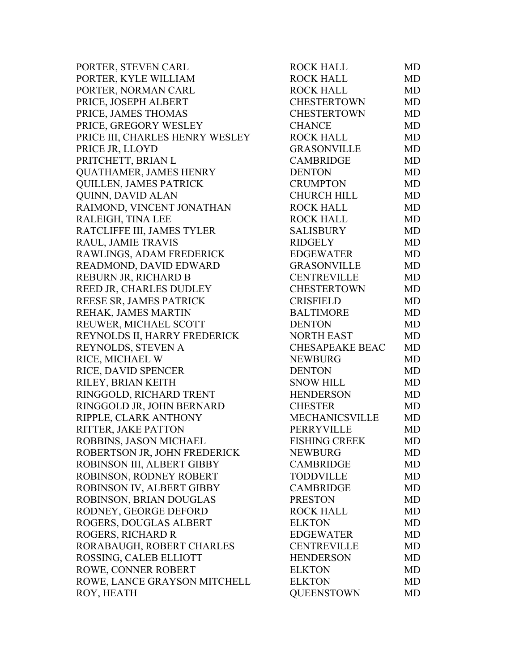PORTER, STEVEN CARL PORTER, KYLE WILLIAM PORTER, NORMAN CARL PRICE, JOSEPH ALBERT PRICE, JAMES THOMAS PRICE, GREGORY WESLEY PRICE III, CHARLES HENRY WESLEY PRICE JR, LLOYD PRITCHETT, BRIAN L QUATHAMER, JAMES HENRY QUILLEN, JAMES PATRICK QUINN, DAVID ALAN RAIMOND, VINCENT JONATHAN RALEIGH, TINA LEE RATCLIFFE III, JAMES TYLER RAUL, JAMIE TRAVIS RAWLINGS, ADAM FREDERICK READMOND, DAVID EDWARD REBURN JR, RICHARD B REED JR, CHARLES DUDLEY REESE SR, JAMES PATRICK REHAK, JAMES MARTIN REUWER, MICHAEL SCOTT REYNOLDS II, HARRY FREDERICK REYNOLDS, STEVEN A RICE, MICHAEL W RICE, DAVID SPENCER RILEY, BRIAN KEITH RINGGOLD, RICHARD TRENT RINGGOLD JR, JOHN BERNARD RIPPLE, CLARK ANTHONY RITTER, JAKE PATTON ROBBINS, JASON MICHAEL ROBERTSON JR, JOHN FREDERICK ROBINSON III, ALBERT GIBBY ROBINSON, RODNEY ROBERT ROBINSON IV, ALBERT GIBBY ROBINSON, BRIAN DOUGLAS RODNEY, GEORGE DEFORD ROGERS, DOUGLAS ALBERT ROGERS, RICHARD R RORABAUGH, ROBERT CHARLES ROSSING, CALEB ELLIOTT ROWE, CONNER ROBERT ROWE, LANCE GRAYSON MITCHELL ROY, HEATH

| ROCK HALL              | MD        |
|------------------------|-----------|
| <b>ROCK HALL</b>       | MD        |
| <b>ROCK HALL</b>       | MD        |
| CHESTERTOWN            | MD        |
| CHESTERTOWN            | <b>MD</b> |
| <b>CHANCE</b>          | <b>MD</b> |
| <b>ROCK HALL</b>       | <b>MD</b> |
| <b>GRASONVILLE</b>     | <b>MD</b> |
| <b>CAMBRIDGE</b>       | <b>MD</b> |
| <b>DENTON</b>          | <b>MD</b> |
| <b>CRUMPTON</b>        | MD        |
| <b>CHURCH HILL</b>     | MD        |
| <b>ROCK HALL</b>       | <b>MD</b> |
| <b>ROCK HALL</b>       | <b>MD</b> |
| <b>SALISBURY</b>       | <b>MD</b> |
| <b>RIDGELY</b>         | <b>MD</b> |
| <b>EDGEWATER</b>       | MD        |
| GRASONVILLE            | MD        |
| <b>CENTREVILLE</b>     | <b>MD</b> |
| CHESTERTOWN            | <b>MD</b> |
| <b>CRISFIELD</b>       | <b>MD</b> |
| <b>BALTIMORE</b>       | MD        |
| <b>DENTON</b>          | <b>MD</b> |
| <b>NORTH EAST</b>      | MD        |
| <b>CHESAPEAKE BEAC</b> | <b>MD</b> |
| <b>NEWBURG</b>         | <b>MD</b> |
| <b>DENTON</b>          | <b>MD</b> |
| <b>SNOW HILL</b>       | <b>MD</b> |
| <b>HENDERSON</b>       | <b>MD</b> |
| <b>CHESTER</b>         | MD        |
| MECHANICSVILLE         | MD        |
| <b>PERRYVILLE</b>      | MD        |
| <b>FISHING CREEK</b>   | MD        |
| <b>NEWBURG</b>         | <b>MD</b> |
| <b>CAMBRIDGE</b>       | <b>MD</b> |
| <b>TODDVILLE</b>       | <b>MD</b> |
| <b>CAMBRIDGE</b>       | <b>MD</b> |
| <b>PRESTON</b>         | <b>MD</b> |
| <b>ROCK HALL</b>       | <b>MD</b> |
| <b>ELKTON</b>          | <b>MD</b> |
| <b>EDGEWATER</b>       | <b>MD</b> |
| <b>CENTREVILLE</b>     | <b>MD</b> |
| <b>HENDERSON</b>       | <b>MD</b> |
| <b>ELKTON</b>          | <b>MD</b> |
| <b>ELKTON</b>          | <b>MD</b> |
| <b>OUEENSTOWN</b>      | <b>MD</b> |
|                        |           |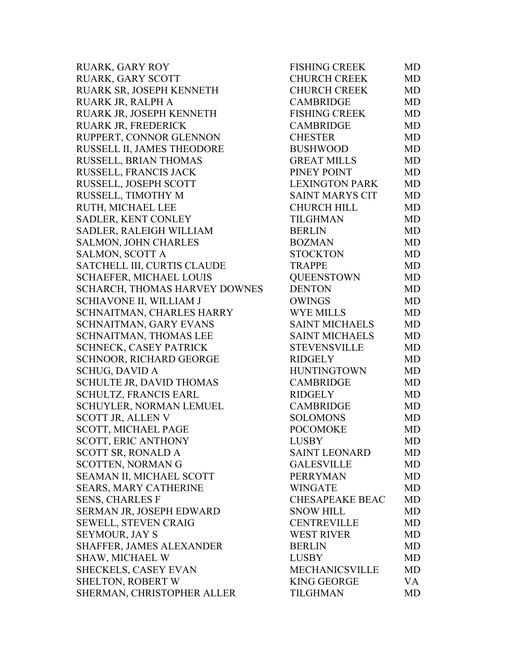| RUARK, GARY ROY                | <b>FISHING CREEK</b>   | <b>MD</b> |
|--------------------------------|------------------------|-----------|
| <b>RUARK, GARY SCOTT</b>       | <b>CHURCH CREEK</b>    | <b>MD</b> |
| RUARK SR, JOSEPH KENNETH       | <b>CHURCH CREEK</b>    | MD        |
| RUARK JR, RALPH A              | <b>CAMBRIDGE</b>       | <b>MD</b> |
| RUARK JR, JOSEPH KENNETH       | <b>FISHING CREEK</b>   | MD        |
| RUARK JR, FREDERICK            | <b>CAMBRIDGE</b>       | <b>MD</b> |
| RUPPERT, CONNOR GLENNON        | <b>CHESTER</b>         | <b>MD</b> |
| RUSSELL II, JAMES THEODORE     | <b>BUSHWOOD</b>        | <b>MD</b> |
| RUSSELL, BRIAN THOMAS          | <b>GREAT MILLS</b>     | <b>MD</b> |
| RUSSELL, FRANCIS JACK          | PINEY POINT            | <b>MD</b> |
| RUSSELL, JOSEPH SCOTT          | <b>LEXINGTON PARK</b>  | <b>MD</b> |
| RUSSELL, TIMOTHY M             | <b>SAINT MARYS CIT</b> | <b>MD</b> |
| RUTH, MICHAEL LEE              | <b>CHURCH HILL</b>     | <b>MD</b> |
| <b>SADLER, KENT CONLEY</b>     | <b>TILGHMAN</b>        | <b>MD</b> |
| SADLER, RALEIGH WILLIAM        | <b>BERLIN</b>          | <b>MD</b> |
| <b>SALMON, JOHN CHARLES</b>    | <b>BOZMAN</b>          | <b>MD</b> |
| SALMON, SCOTT A                | <b>STOCKTON</b>        | <b>MD</b> |
| SATCHELL III, CURTIS CLAUDE    | <b>TRAPPE</b>          | <b>MD</b> |
| SCHAEFER, MICHAEL LOUIS        | <b>QUEENSTOWN</b>      | <b>MD</b> |
| SCHARCH, THOMAS HARVEY DOWNES  | <b>DENTON</b>          | <b>MD</b> |
| SCHIAVONE II, WILLIAM J        | <b>OWINGS</b>          | <b>MD</b> |
| SCHNAITMAN, CHARLES HARRY      | <b>WYE MILLS</b>       | <b>MD</b> |
| SCHNAITMAN, GARY EVANS         | <b>SAINT MICHAELS</b>  | <b>MD</b> |
| SCHNAITMAN, THOMAS LEE         | <b>SAINT MICHAELS</b>  | <b>MD</b> |
| <b>SCHNECK, CASEY PATRICK</b>  | <b>STEVENSVILLE</b>    | <b>MD</b> |
| SCHNOOR, RICHARD GEORGE        | <b>RIDGELY</b>         | MD        |
| <b>SCHUG, DAVID A</b>          | <b>HUNTINGTOWN</b>     | <b>MD</b> |
| SCHULTE JR, DAVID THOMAS       | <b>CAMBRIDGE</b>       | <b>MD</b> |
| SCHULTZ, FRANCIS EARL          | <b>RIDGELY</b>         | <b>MD</b> |
| <b>SCHUYLER, NORMAN LEMUEL</b> | <b>CAMBRIDGE</b>       | <b>MD</b> |
| <b>SCOTT JR, ALLEN V</b>       | <b>SOLOMONS</b>        | MD        |
| <b>SCOTT, MICHAEL PAGE</b>     | <b>POCOMOKE</b>        | <b>MD</b> |
| <b>SCOTT, ERIC ANTHONY</b>     | <b>LUSBY</b>           | MD        |
| <b>SCOTT SR, RONALD A</b>      | <b>SAINT LEONARD</b>   | MD        |
| <b>SCOTTEN, NORMAN G</b>       | <b>GALESVILLE</b>      | <b>MD</b> |
| SEAMAN II, MICHAEL SCOTT       | <b>PERRYMAN</b>        | <b>MD</b> |
| <b>SEARS, MARY CATHERINE</b>   | <b>WINGATE</b>         | <b>MD</b> |
| <b>SENS, CHARLES F</b>         | <b>CHESAPEAKE BEAC</b> | MD        |
| SERMAN JR, JOSEPH EDWARD       | <b>SNOW HILL</b>       | <b>MD</b> |
| <b>SEWELL, STEVEN CRAIG</b>    | <b>CENTREVILLE</b>     | <b>MD</b> |
| <b>SEYMOUR, JAY S</b>          | <b>WEST RIVER</b>      | MD        |
| SHAFFER, JAMES ALEXANDER       | <b>BERLIN</b>          | <b>MD</b> |
| <b>SHAW, MICHAEL W</b>         | <b>LUSBY</b>           | <b>MD</b> |
| <b>SHECKELS, CASEY EVAN</b>    | <b>MECHANICSVILLE</b>  | <b>MD</b> |
| <b>SHELTON, ROBERT W</b>       | <b>KING GEORGE</b>     | VA        |
| SHERMAN, CHRISTOPHER ALLER     | <b>TILGHMAN</b>        | <b>MD</b> |
|                                |                        |           |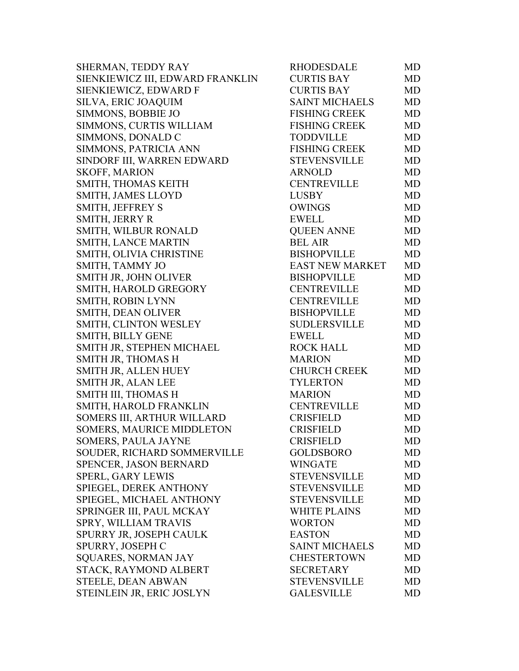| SHERMAN, TEDDY RAY               | <b>RHODESDALE</b>      | MD        |
|----------------------------------|------------------------|-----------|
| SIENKIEWICZ III, EDWARD FRANKLIN | <b>CURTIS BAY</b>      | MD        |
| SIENKIEWICZ, EDWARD F            | <b>CURTIS BAY</b>      | MD        |
| SILVA, ERIC JOAQUIM              | <b>SAINT MICHAELS</b>  | MD        |
| SIMMONS, BOBBIE JO               | <b>FISHING CREEK</b>   | MD        |
| SIMMONS, CURTIS WILLIAM          | <b>FISHING CREEK</b>   | MD        |
| SIMMONS, DONALD C                | <b>TODDVILLE</b>       | MD        |
| SIMMONS, PATRICIA ANN            | <b>FISHING CREEK</b>   | MD        |
| SINDORF III, WARREN EDWARD       | <b>STEVENSVILLE</b>    | <b>MD</b> |
| <b>SKOFF, MARION</b>             | <b>ARNOLD</b>          | MD        |
| SMITH, THOMAS KEITH              | <b>CENTREVILLE</b>     | MD        |
| SMITH, JAMES LLOYD               | <b>LUSBY</b>           | MD        |
| SMITH, JEFFREY S                 | OWINGS                 | MD        |
| SMITH, JERRY R                   | <b>EWELL</b>           | MD        |
| SMITH, WILBUR RONALD             | <b>QUEEN ANNE</b>      | MD        |
| SMITH, LANCE MARTIN              | <b>BEL AIR</b>         | MD        |
| SMITH, OLIVIA CHRISTINE          | <b>BISHOPVILLE</b>     | MD        |
| SMITH, TAMMY JO                  | <b>EAST NEW MARKET</b> | MD        |
| SMITH JR, JOHN OLIVER            | <b>BISHOPVILLE</b>     | MD        |
| SMITH, HAROLD GREGORY            | <b>CENTREVILLE</b>     | <b>MD</b> |
| SMITH, ROBIN LYNN                | <b>CENTREVILLE</b>     | MD        |
| SMITH, DEAN OLIVER               | <b>BISHOPVILLE</b>     | MD        |
| SMITH, CLINTON WESLEY            | <b>SUDLERSVILLE</b>    | MD        |
| <b>SMITH, BILLY GENE</b>         | <b>EWELL</b>           | MD        |
| SMITH JR, STEPHEN MICHAEL        | <b>ROCK HALL</b>       | MD        |
| SMITH JR, THOMAS H               | <b>MARION</b>          | MD        |
| SMITH JR, ALLEN HUEY             | <b>CHURCH CREEK</b>    | MD        |
| SMITH JR, ALAN LEE               | <b>TYLERTON</b>        | MD        |
| SMITH III, THOMAS H              | <b>MARION</b>          | MD        |
| SMITH, HAROLD FRANKLIN           | <b>CENTREVILLE</b>     | MD        |
| SOMERS III, ARTHUR WILLARD       | <b>CRISFIELD</b>       | MD        |
| SOMERS, MAURICE MIDDLETON        | <b>CRISFIELD</b>       | <b>MD</b> |
| <b>SOMERS, PAULA JAYNE</b>       | <b>CRISFIELD</b>       | MD        |
| SOUDER, RICHARD SOMMERVILLE      | <b>GOLDSBORO</b>       | MD        |
| SPENCER, JASON BERNARD           | <b>WINGATE</b>         | MD        |
| <b>SPERL, GARY LEWIS</b>         | <b>STEVENSVILLE</b>    | MD        |
| SPIEGEL, DEREK ANTHONY           | <b>STEVENSVILLE</b>    | MD        |
| SPIEGEL, MICHAEL ANTHONY         | <b>STEVENSVILLE</b>    | MD        |
| SPRINGER III, PAUL MCKAY         | <b>WHITE PLAINS</b>    | MD        |
| SPRY, WILLIAM TRAVIS             | <b>WORTON</b>          | MD        |
| SPURRY JR, JOSEPH CAULK          | <b>EASTON</b>          | MD        |
| SPURRY, JOSEPH C                 | <b>SAINT MICHAELS</b>  | MD        |
| <b>SQUARES, NORMAN JAY</b>       | <b>CHESTERTOWN</b>     | MD        |
| STACK, RAYMOND ALBERT            | <b>SECRETARY</b>       | MD        |
| STEELE, DEAN ABWAN               | <b>STEVENSVILLE</b>    | MD        |
| STEINLEIN JR, ERIC JOSLYN        | <b>GALESVILLE</b>      | MD        |
|                                  |                        |           |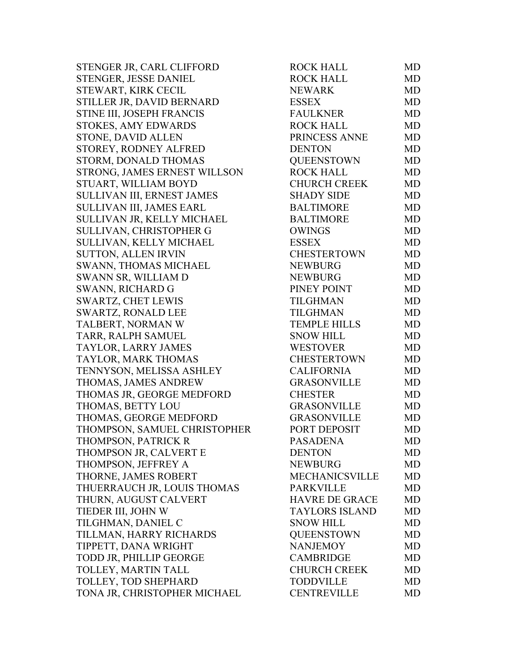STENGER JR, CARL CLIFFORD STENGER, JESSE DANIEL STEWART, KIRK CECIL STILLER JR, DAVID BERNARD STINE III, JOSEPH FRANCIS STOKES, AMY EDWARDS STONE, DAVID ALLEN STOREY, RODNEY ALFRED STORM, DONALD THOMAS STRONG, JAMES ERNEST WILL SON STUART, WILLIAM BOYD SULLIVAN III, ERNEST JAMES SULLIVAN III, JAMES EARL SULLIVAN JR, KELLY MICHAEL SULLIVAN, CHRISTOPHER G SULLIVAN, KELLY MICHAEL SUTTON, ALLEN IRVIN SWANN, THOMAS MICHAEL SWANN SR, WILLIAM D SWANN, RICHARD G SWARTZ, CHET LEWIS SWARTZ, RONALD LEE TALBERT, NORMAN W TARR, RALPH SAMUEL TAYLOR, LARRY JAMES TAYLOR, MARK THOMAS TENNYSON, MELISSA ASHLEY THOMAS, JAMES ANDREW THOMAS JR, GEORGE MEDFORD THOMAS, BETTY LOU THOMAS, GEORGE MEDFORD THOMPSON, SAMUEL CHRISTOPHER THOMPSON, PATRICK R THOMPSON JR, CALVERT E THOMPSON, JEFFREY A THORNE, JAMES ROBERT THUERRAUCH JR, LOUIS THOMAS THURN, AUGUST CALVERT TIEDER III, JOHN W TILGHMAN, DANIEL C TILLMAN, HARRY RICHARDS TIPPETT, DANA WRIGHT TODD JR, PHILLIP GEORGE TOLLEY, MARTIN TALL TOLLEY, TOD SHEPHARD TONA JR, CHRISTOPHER MICHAEL

| <b>ROCK HALL</b>      | <b>MD</b> |
|-----------------------|-----------|
| <b>ROCK HALL</b>      | <b>MD</b> |
| <b>NEWARK</b>         | MD        |
| <b>ESSEX</b>          | <b>MD</b> |
| <b>FAULKNER</b>       | <b>MD</b> |
| <b>ROCK HALL</b>      | <b>MD</b> |
| PRINCESS ANNE         | <b>MD</b> |
| <b>DENTON</b>         | <b>MD</b> |
| <b>QUEENSTOWN</b>     | <b>MD</b> |
| <b>ROCK HALL</b>      | <b>MD</b> |
| <b>CHURCH CREEK</b>   | <b>MD</b> |
| <b>SHADY SIDE</b>     | <b>MD</b> |
| <b>BALTIMORE</b>      | <b>MD</b> |
| <b>BALTIMORE</b>      | <b>MD</b> |
| <b>OWINGS</b>         | <b>MD</b> |
| <b>ESSEX</b>          | <b>MD</b> |
| <b>CHESTERTOWN</b>    | <b>MD</b> |
| <b>NEWBURG</b>        | <b>MD</b> |
| <b>NEWBURG</b>        | <b>MD</b> |
| PINEY POINT           | <b>MD</b> |
| <b>TILGHMAN</b>       | <b>MD</b> |
| <b>TILGHMAN</b>       | <b>MD</b> |
| <b>TEMPLE HILLS</b>   | <b>MD</b> |
| <b>SNOW HILL</b>      | <b>MD</b> |
| <b>WESTOVER</b>       | <b>MD</b> |
| <b>CHESTERTOWN</b>    | <b>MD</b> |
| <b>CALIFORNIA</b>     | <b>MD</b> |
| <b>GRASONVILLE</b>    | <b>MD</b> |
| <b>CHESTER</b>        | <b>MD</b> |
| <b>GRASONVILLE</b>    | <b>MD</b> |
| <b>GRASONVILLE</b>    | <b>MD</b> |
| PORT DEPOSIT          | <b>MD</b> |
| <b>PASADENA</b>       | MD        |
| <b>DENTON</b>         | MD        |
| <b>NEWBURG</b>        | <b>MD</b> |
| <b>MECHANICSVILLE</b> | MD        |
| <b>PARKVILLE</b>      | <b>MD</b> |
| <b>HAVRE DE GRACE</b> | <b>MD</b> |
| <b>TAYLORS ISLAND</b> | MD        |
| <b>SNOW HILL</b>      | <b>MD</b> |
| <b>OUEENSTOWN</b>     | <b>MD</b> |
| <b>NANJEMOY</b>       | <b>MD</b> |
| <b>CAMBRIDGE</b>      | <b>MD</b> |
| <b>CHURCH CREEK</b>   | <b>MD</b> |
| <b>TODDVILLE</b>      | <b>MD</b> |
| <b>CENTREVILLE</b>    | MD        |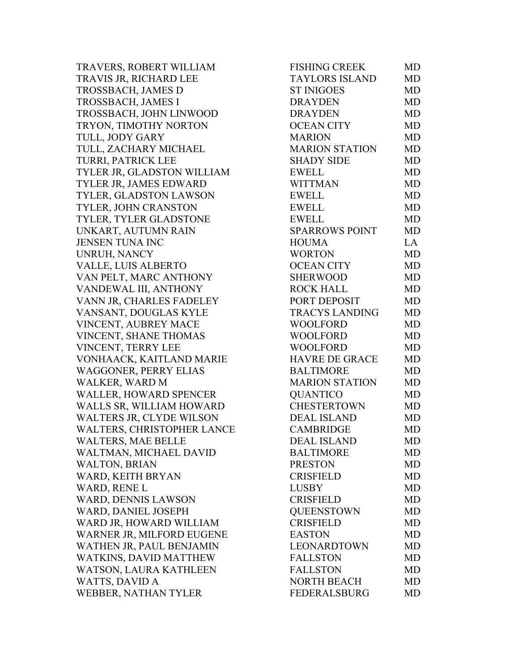TRAVERS, ROBERT WILLIAM TRAVIS JR, RICHARD LEE TROSSBACH, JAMES D TROSSBACH, JAMES I TROSSBACH, JOHN LINWOOD TRYON, TIMOTHY NORTON TULL, JODY GARY TULL, ZACHARY MICHAEL TURRI, PATRICK LEE TYLER JR, GLADSTON WILLIAM TYLER JR, JAMES EDWARD TYLER, GLADSTON LAWSON TYLER, JOHN CRANSTON TYLER, TYLER GLADSTONE UNKART, AUTUMN RAIN JENSEN TUNA INC UNRUH, NANCY VALLE, LUIS ALBERTO VAN PELT, MARC ANTHONY VANDEWAL III, ANTHONY VANN JR, CHARLES FADELEY VANSANT, DOUGLAS KYLE VINCENT, AUBREY MACE VINCENT, SHANE THOMAS VINCENT, TERRY LEE VONHAACK, KAITLAND MARIE WAGGONER, PERRY ELIAS WALKER, WARD M WALLER, HOWARD SPENCER WALLS SR, WILLIAM HOWARD WALTERS JR, CLYDE WILSON WALTERS, CHRISTOPHER LANCE WALTERS, MAE BELLE WALTMAN, MICHAEL DAVID WALTON, BRIAN WARD, KEITH BRYAN WARD, RENE L WARD, DENNIS LAWSON WARD, DANIEL JOSEPH WARD JR, HOWARD WILLIAM WARNER JR, MILFORD EUGENE WATHEN JR, PAUL BENJAMIN WATKINS, DAVID MATTHEW WATSON, LAURA KATHLEEN WATTS, DAVID A WEBBER, NATHAN TYLER

| FISHING CREEK         | MD        |
|-----------------------|-----------|
| <b>TAYLORS ISLAND</b> | <b>MD</b> |
| <b>ST INIGOES</b>     | MD        |
| <b>DRAYDEN</b>        | <b>MD</b> |
| <b>DRAYDEN</b>        | <b>MD</b> |
| <b>OCEAN CITY</b>     | <b>MD</b> |
| <b>MARION</b>         | <b>MD</b> |
| <b>MARION STATION</b> | <b>MD</b> |
| <b>SHADY SIDE</b>     | <b>MD</b> |
| <b>EWELL</b>          | <b>MD</b> |
| <b>WITTMAN</b>        | <b>MD</b> |
| <b>EWELL</b>          | MD        |
| <b>EWELL</b>          | <b>MD</b> |
| <b>EWELL</b>          | <b>MD</b> |
| <b>SPARROWS POINT</b> | <b>MD</b> |
| <b>HOUMA</b>          | LA        |
| <b>WORTON</b>         | MD        |
| <b>OCEAN CITY</b>     | <b>MD</b> |
| <b>SHERWOOD</b>       | <b>MD</b> |
| <b>ROCK HALL</b>      | <b>MD</b> |
| PORT DEPOSIT          | <b>MD</b> |
| <b>TRACYS LANDING</b> | MD        |
| WOOLFORD              | MD        |
| <b>WOOLFORD</b>       | <b>MD</b> |
| <b>WOOLFORD</b>       | <b>MD</b> |
| <b>HAVRE DE GRACE</b> | <b>MD</b> |
| <b>BALTIMORE</b>      | <b>MD</b> |
| <b>MARION STATION</b> | <b>MD</b> |
| <b>QUANTICO</b>       | <b>MD</b> |
| <b>CHESTERTOWN</b>    | <b>MD</b> |
| <b>DEAL ISLAND</b>    | MD        |
| <b>CAMBRIDGE</b>      | MD        |
| <b>DEAL ISLAND</b>    | MD        |
| <b>BALTIMORE</b>      | <b>MD</b> |
| <b>PRESTON</b>        | MD        |
| <b>CRISFIELD</b>      | MD        |
| <b>LUSBY</b>          | <b>MD</b> |
| <b>CRISFIELD</b>      | <b>MD</b> |
| <b>OUEENSTOWN</b>     | <b>MD</b> |
| <b>CRISFIELD</b>      | <b>MD</b> |
| <b>EASTON</b>         | <b>MD</b> |
| LEONARDTOWN           | <b>MD</b> |
| <b>FALLSTON</b>       | <b>MD</b> |
| <b>FALLSTON</b>       | <b>MD</b> |
| <b>NORTH BEACH</b>    | MD        |
| <b>FEDERALSBURG</b>   | MD        |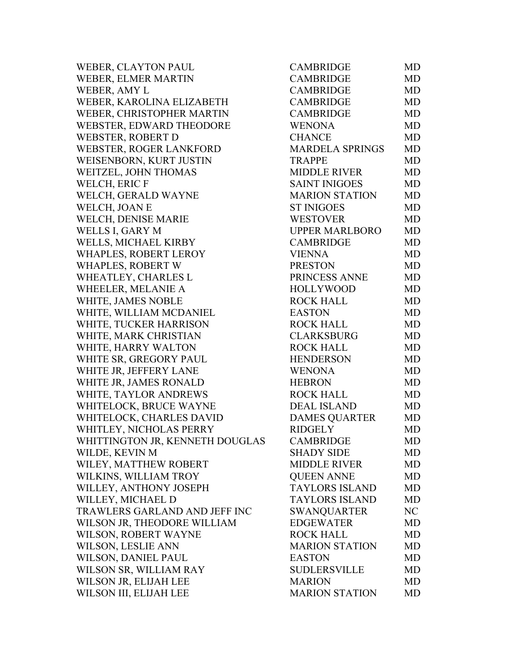| WEBER, CLAYTON PAUL             | <b>CAMBRIDGE</b>       | <b>MD</b> |
|---------------------------------|------------------------|-----------|
| WEBER, ELMER MARTIN             | <b>CAMBRIDGE</b>       | <b>MD</b> |
| WEBER, AMY L                    | <b>CAMBRIDGE</b>       | <b>MD</b> |
| WEBER, KAROLINA ELIZABETH       | <b>CAMBRIDGE</b>       | <b>MD</b> |
| WEBER, CHRISTOPHER MARTIN       | <b>CAMBRIDGE</b>       | <b>MD</b> |
| WEBSTER, EDWARD THEODORE        | <b>WENONA</b>          | <b>MD</b> |
| WEBSTER, ROBERT D               | <b>CHANCE</b>          | <b>MD</b> |
| WEBSTER, ROGER LANKFORD         | <b>MARDELA SPRINGS</b> | <b>MD</b> |
| WEISENBORN, KURT JUSTIN         | <b>TRAPPE</b>          | <b>MD</b> |
| WEITZEL, JOHN THOMAS            | <b>MIDDLE RIVER</b>    | <b>MD</b> |
| WELCH, ERIC F                   | <b>SAINT INIGOES</b>   | <b>MD</b> |
| WELCH, GERALD WAYNE             | <b>MARION STATION</b>  | <b>MD</b> |
| WELCH, JOAN E                   | <b>ST INIGOES</b>      | <b>MD</b> |
| WELCH, DENISE MARIE             | <b>WESTOVER</b>        | <b>MD</b> |
| WELLS I, GARY M                 | <b>UPPER MARLBORO</b>  | <b>MD</b> |
| WELLS, MICHAEL KIRBY            | <b>CAMBRIDGE</b>       | <b>MD</b> |
| WHAPLES, ROBERT LEROY           | <b>VIENNA</b>          | <b>MD</b> |
| <b>WHAPLES, ROBERT W</b>        | <b>PRESTON</b>         | MD        |
| WHEATLEY, CHARLES L             | PRINCESS ANNE          | <b>MD</b> |
| WHEELER, MELANIE A              | <b>HOLLYWOOD</b>       | <b>MD</b> |
| WHITE, JAMES NOBLE              | <b>ROCK HALL</b>       | <b>MD</b> |
| WHITE, WILLIAM MCDANIEL         | <b>EASTON</b>          | <b>MD</b> |
| WHITE, TUCKER HARRISON          | <b>ROCK HALL</b>       | <b>MD</b> |
| WHITE, MARK CHRISTIAN           | <b>CLARKSBURG</b>      | <b>MD</b> |
| WHITE, HARRY WALTON             | <b>ROCK HALL</b>       | <b>MD</b> |
| WHITE SR, GREGORY PAUL          | <b>HENDERSON</b>       | <b>MD</b> |
| WHITE JR, JEFFERY LANE          | <b>WENONA</b>          | <b>MD</b> |
| WHITE JR, JAMES RONALD          | <b>HEBRON</b>          | <b>MD</b> |
| WHITE, TAYLOR ANDREWS           | <b>ROCK HALL</b>       | <b>MD</b> |
| WHITELOCK, BRUCE WAYNE          | <b>DEAL ISLAND</b>     | <b>MD</b> |
| WHITELOCK, CHARLES DAVID        | <b>DAMES QUARTER</b>   | MD        |
| WHITLEY, NICHOLAS PERRY         | <b>RIDGELY</b>         | <b>MD</b> |
| WHITTINGTON JR, KENNETH DOUGLAS | <b>CAMBRIDGE</b>       | MD        |
| WILDE, KEVIN M                  | <b>SHADY SIDE</b>      | MD        |
| WILEY, MATTHEW ROBERT           | <b>MIDDLE RIVER</b>    | <b>MD</b> |
| WILKINS, WILLIAM TROY           | <b>QUEEN ANNE</b>      | MD        |
| WILLEY, ANTHONY JOSEPH          | <b>TAYLORS ISLAND</b>  | <b>MD</b> |
| WILLEY, MICHAEL D               | <b>TAYLORS ISLAND</b>  | MD        |
| TRAWLERS GARLAND AND JEFF INC   | <b>SWANQUARTER</b>     | NC        |
| WILSON JR, THEODORE WILLIAM     | <b>EDGEWATER</b>       | <b>MD</b> |
| WILSON, ROBERT WAYNE            | <b>ROCK HALL</b>       | <b>MD</b> |
| WILSON, LESLIE ANN              | <b>MARION STATION</b>  | <b>MD</b> |
| WILSON, DANIEL PAUL             | <b>EASTON</b>          | <b>MD</b> |
| WILSON SR, WILLIAM RAY          | <b>SUDLERSVILLE</b>    | MD        |
| WILSON JR, ELIJAH LEE           | <b>MARION</b>          | <b>MD</b> |
| WILSON III, ELIJAH LEE          | <b>MARION STATION</b>  | <b>MD</b> |
|                                 |                        |           |